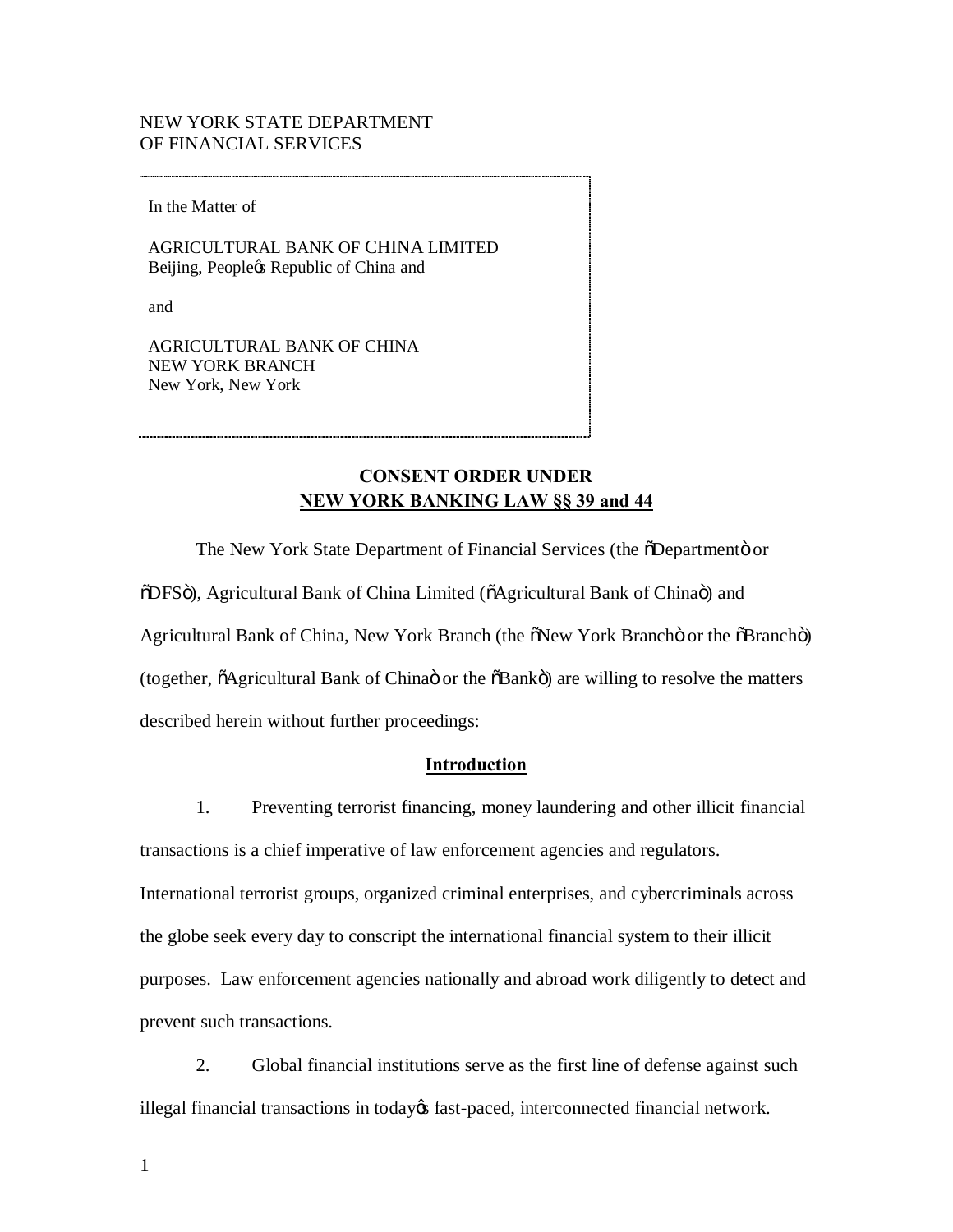## NEW YORK STATE DEPARTMENT OF FINANCIAL SERVICES

In the Matter of

 AGRICULTURAL BANK OF CHINA LIMITED Beijing, Peopleøs Republic of China and

and

and<br>AGRICULTURAL BANK OF CHINA New York, New York NEW YORK BRANCH

# **NEW YORK BANKING LAW §§ 39 and 44 CONSENT ORDER UNDER**

The New York State Department of Financial Services (the  $\delta$ Departmentö or  $\delta$ DFSö), Agricultural Bank of China Limited ( $\delta$ Agricultural Bank of Chinaö) and Agricultural Bank of China, New York Branch (the  $\delta$ New York Branchö or the  $\delta$ Branchö) (together,  $\tilde{o}$ Agricultural Bank of Chinaö or the  $\tilde{o}$ Bankö) are willing to resolve the matters described herein without further proceedings:

## **Introduction**

 1. Preventing terrorist financing, money laundering and other illicit financial transactions is a chief imperative of law enforcement agencies and regulators. International terrorist groups, organized criminal enterprises, and cybercriminals across the globe seek every day to conscript the international financial system to their illicit purposes. Law enforcement agencies nationally and abroad work diligently to detect and prevent such transactions.

 2. Global financial institutions serve as the first line of defense against such illegal financial transactions in today $\alpha$  fast-paced, interconnected financial network.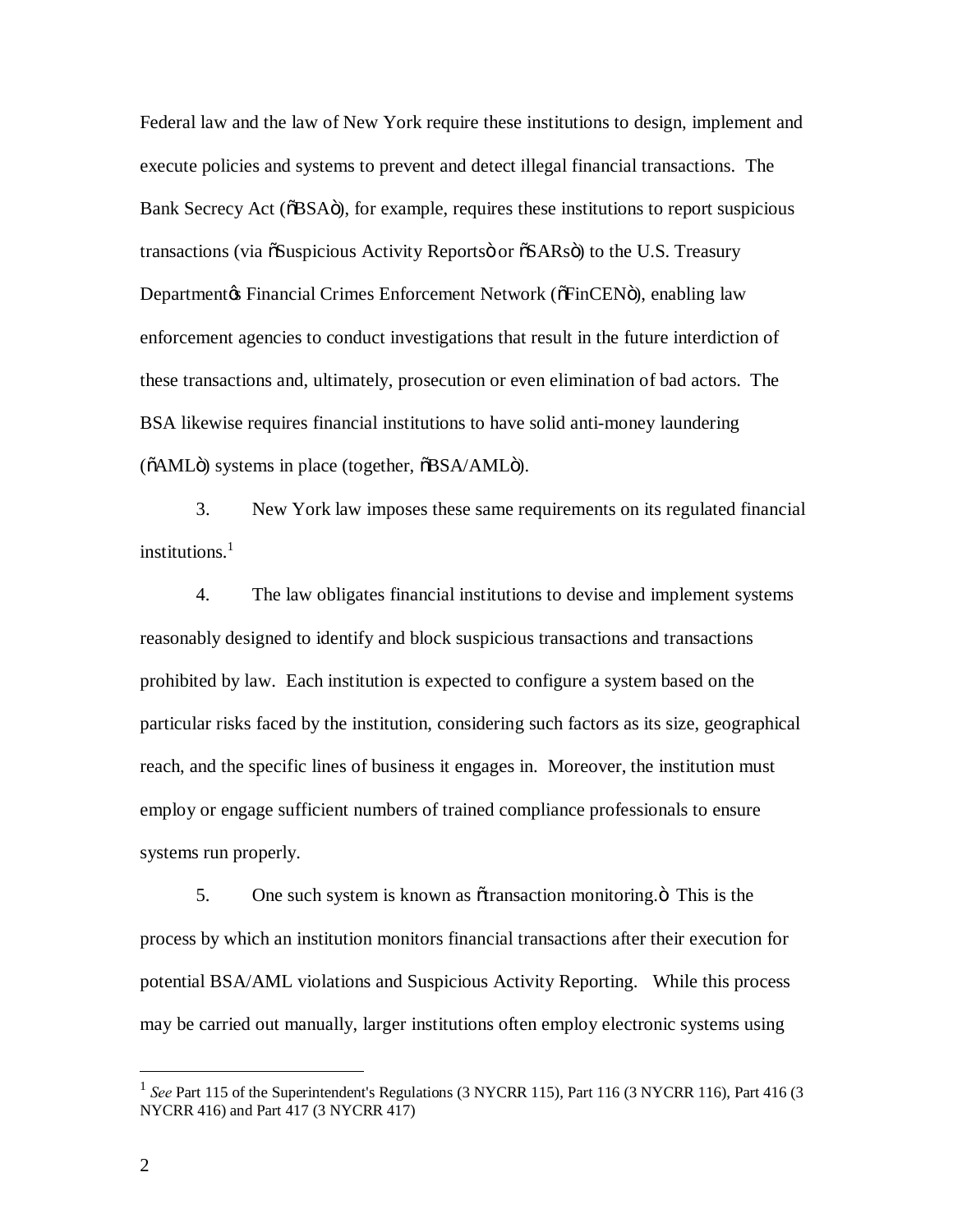Federal law and the law of New York require these institutions to design, implement and execute policies and systems to prevent and detect illegal financial transactions. The Bank Secrecy Act ( $\delta$ BSA $\ddot{o}$ ), for example, requires these institutions to report suspicious transactions (via  $\tilde{o}$ Suspicious Activity Reportsö or  $\tilde{o}$ SARsö) to the U.S. Treasury Departmentøs Financial Crimes Enforcement Network (õFinCENö), enabling law enforcement agencies to conduct investigations that result in the future interdiction of these transactions and, ultimately, prosecution or even elimination of bad actors. The BSA likewise requires financial institutions to have solid anti-money laundering ( $\delta AML$ ö) systems in place (together,  $\delta BSA/AML$ ö).

 3. New York law imposes these same requirements on its regulated financial institutions $<sup>1</sup>$ </sup>

 4. The law obligates financial institutions to devise and implement systems reasonably designed to identify and block suspicious transactions and transactions prohibited by law. Each institution is expected to configure a system based on the particular risks faced by the institution, considering such factors as its size, geographical reach, and the specific lines of business it engages in. Moreover, the institution must employ or engage sufficient numbers of trained compliance professionals to ensure systems run properly.

5. One such system is known as otransaction monitoring. This is the process by which an institution monitors financial transactions after their execution for potential BSA/AML violations and Suspicious Activity Reporting. While this process may be carried out manually, larger institutions often employ electronic systems using

 $\overline{a}$ 

<sup>&</sup>lt;sup>1</sup> See Part 115 of the Superintendent's Regulations (3 NYCRR 115), Part 116 (3 NYCRR 116), Part 416 (3 NYCRR 416) and Part 417 (3 NYCRR 417)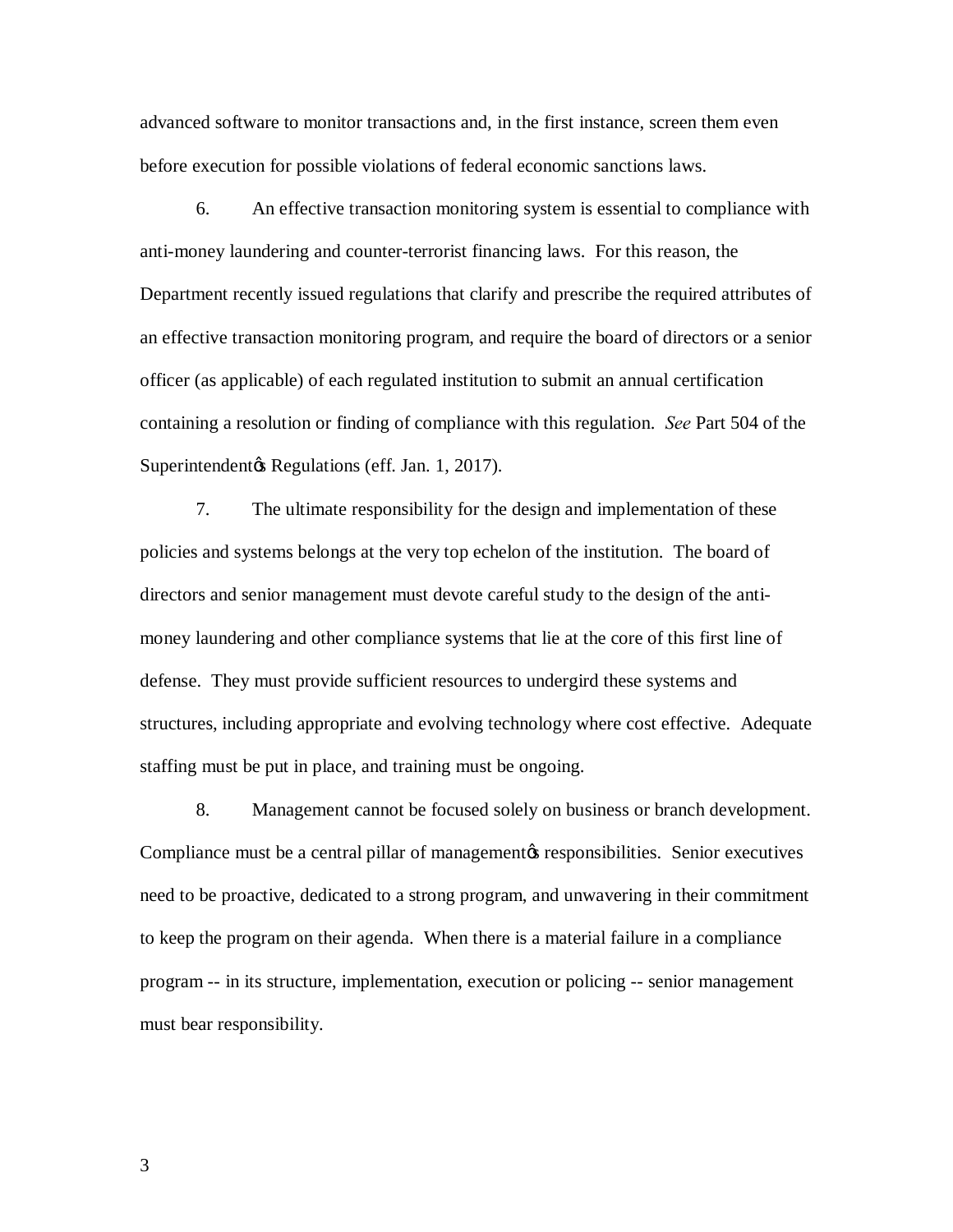advanced software to monitor transactions and, in the first instance, screen them even before execution for possible violations of federal economic sanctions laws.

 6. An effective transaction monitoring system is essential to compliance with anti-money laundering and counter-terrorist financing laws. For this reason, the Department recently issued regulations that clarify and prescribe the required attributes of an effective transaction monitoring program, and require the board of directors or a senior officer (as applicable) of each regulated institution to submit an annual certification containing a resolution or finding of compliance with this regulation. *See* Part 504 of the Superintendentøs Regulations (eff. Jan. 1, 2017).

 7. The ultimate responsibility for the design and implementation of these policies and systems belongs at the very top echelon of the institution. The board of directors and senior management must devote careful study to the design of the anti- money laundering and other compliance systems that lie at the core of this first line of defense. They must provide sufficient resources to undergird these systems and structures, including appropriate and evolving technology where cost effective. Adequate staffing must be put in place, and training must be ongoing.

 8. Management cannot be focused solely on business or branch development. Compliance must be a central pillar of management per responsibilities. Senior executives need to be proactive, dedicated to a strong program, and unwavering in their commitment to keep the program on their agenda. When there is a material failure in a compliance program -- in its structure, implementation, execution or policing -- senior management must bear responsibility.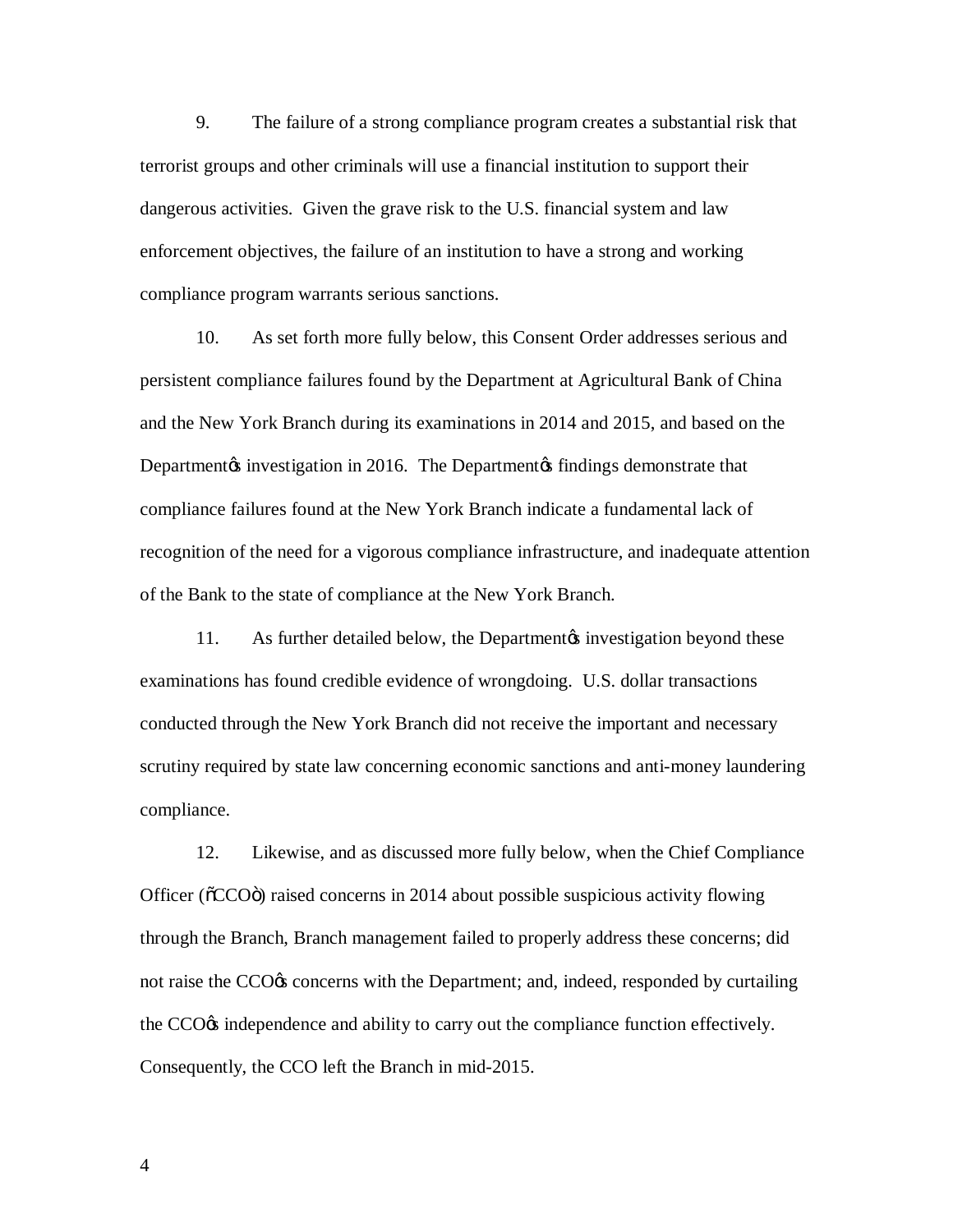9. The failure of a strong compliance program creates a substantial risk that terrorist groups and other criminals will use a financial institution to support their dangerous activities. Given the grave risk to the U.S. financial system and law enforcement objectives, the failure of an institution to have a strong and working compliance program warrants serious sanctions.

 10. As set forth more fully below, this Consent Order addresses serious and persistent compliance failures found by the Department at Agricultural Bank of China and the New York Branch during its examinations in 2014 and 2015, and based on the Departmentøs investigation in 2016. The Departmentøs findings demonstrate that compliance failures found at the New York Branch indicate a fundamental lack of recognition of the need for a vigorous compliance infrastructure, and inadequate attention of the Bank to the state of compliance at the New York Branch.

11. As further detailed below, the Department investigation beyond these examinations has found credible evidence of wrongdoing. U.S. dollar transactions scrutiny required by state law concerning economic sanctions and anti-money laundering conducted through the New York Branch did not receive the important and necessary compliance.

 12. Likewise, and as discussed more fully below, when the Chief Compliance Officer ( $\delta$ CCO $\ddot{o}$ ) raised concerns in 2014 about possible suspicious activity flowing through the Branch, Branch management failed to properly address these concerns; did not raise the CCO% concerns with the Department; and, indeed, responded by curtailing the CCO<sub>®</sub> independence and ability to carry out the compliance function effectively. Consequently, the CCO left the Branch in mid-2015.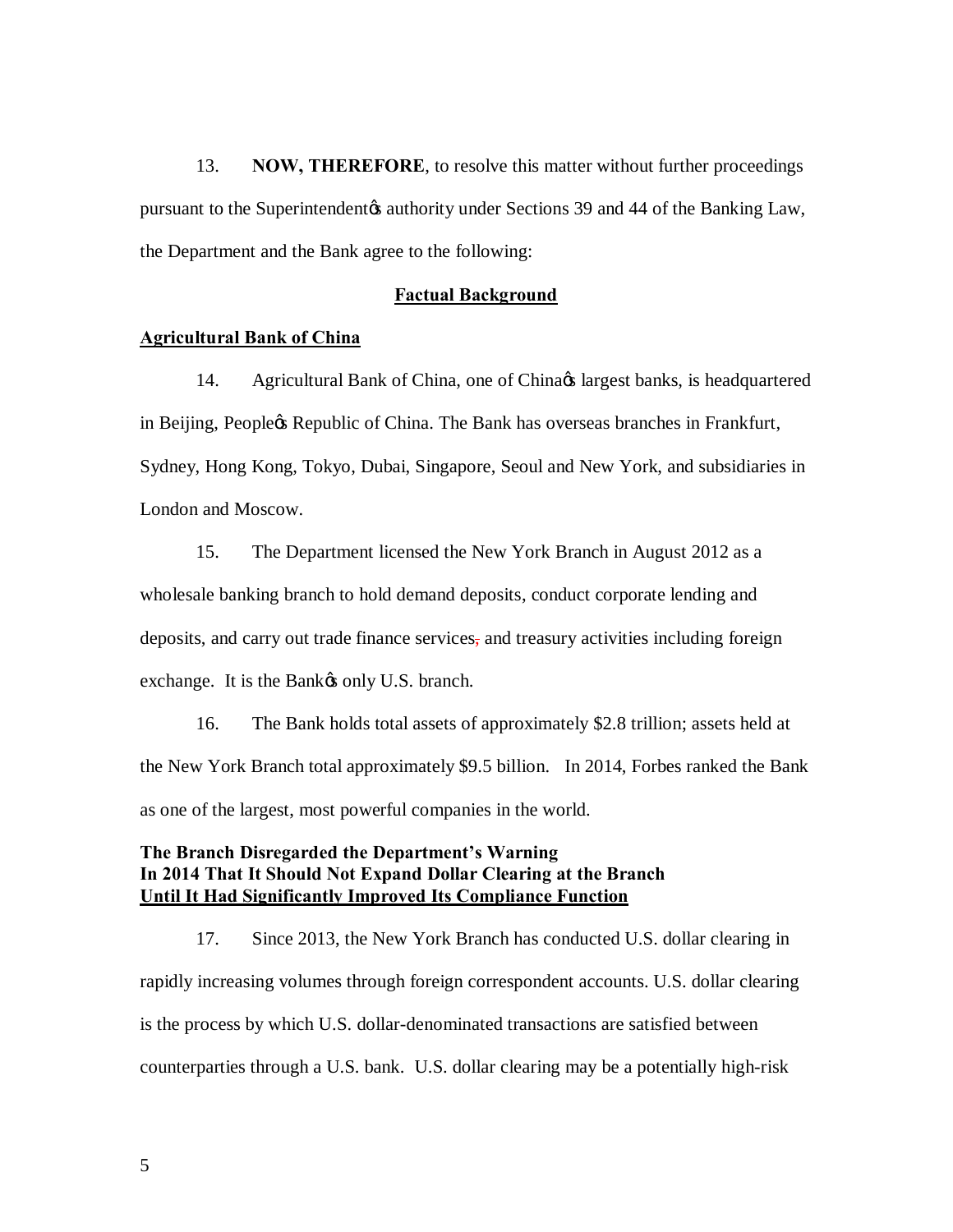13. **NOW, THEREFORE**, to resolve this matter without further proceedings pursuant to the Superintendent & authority under Sections 39 and 44 of the Banking Law, the Department and the Bank agree to the following:

#### **Factual Background**

### **Agricultural Bank of China**

14. Agricultural Bank of China, one of China $\alpha$ s largest banks, is headquartered in Beijing, Peopleøs Republic of China. The Bank has overseas branches in Frankfurt, Sydney, Hong Kong, Tokyo, Dubai, Singapore, Seoul and New York, and subsidiaries in London and Moscow.

 15. The Department licensed the New York Branch in August 2012 as a wholesale banking branch to hold demand deposits, conduct corporate lending and deposits, and carry out trade finance services, and treasury activities including foreign exchange. It is the Bank $\alpha$  only U.S. branch.

 16. The Bank holds total assets of approximately \$2.8 trillion; assets held at the New York Branch total approximately \$9.5 billion. In 2014, Forbes ranked the Bank as one of the largest, most powerful companies in the world.

# **The Branch Disregarded the Department's Warning In 2014 That It Should Not Expand Dollar Clearing at the Branch Until It Had Significantly Improved Its Compliance Function**

 17. Since 2013, the New York Branch has conducted U.S. dollar clearing in rapidly increasing volumes through foreign correspondent accounts. U.S. dollar clearing is the process by which U.S. dollar-denominated transactions are satisfied between counterparties through a U.S. bank. U.S. dollar clearing may be a potentially high-risk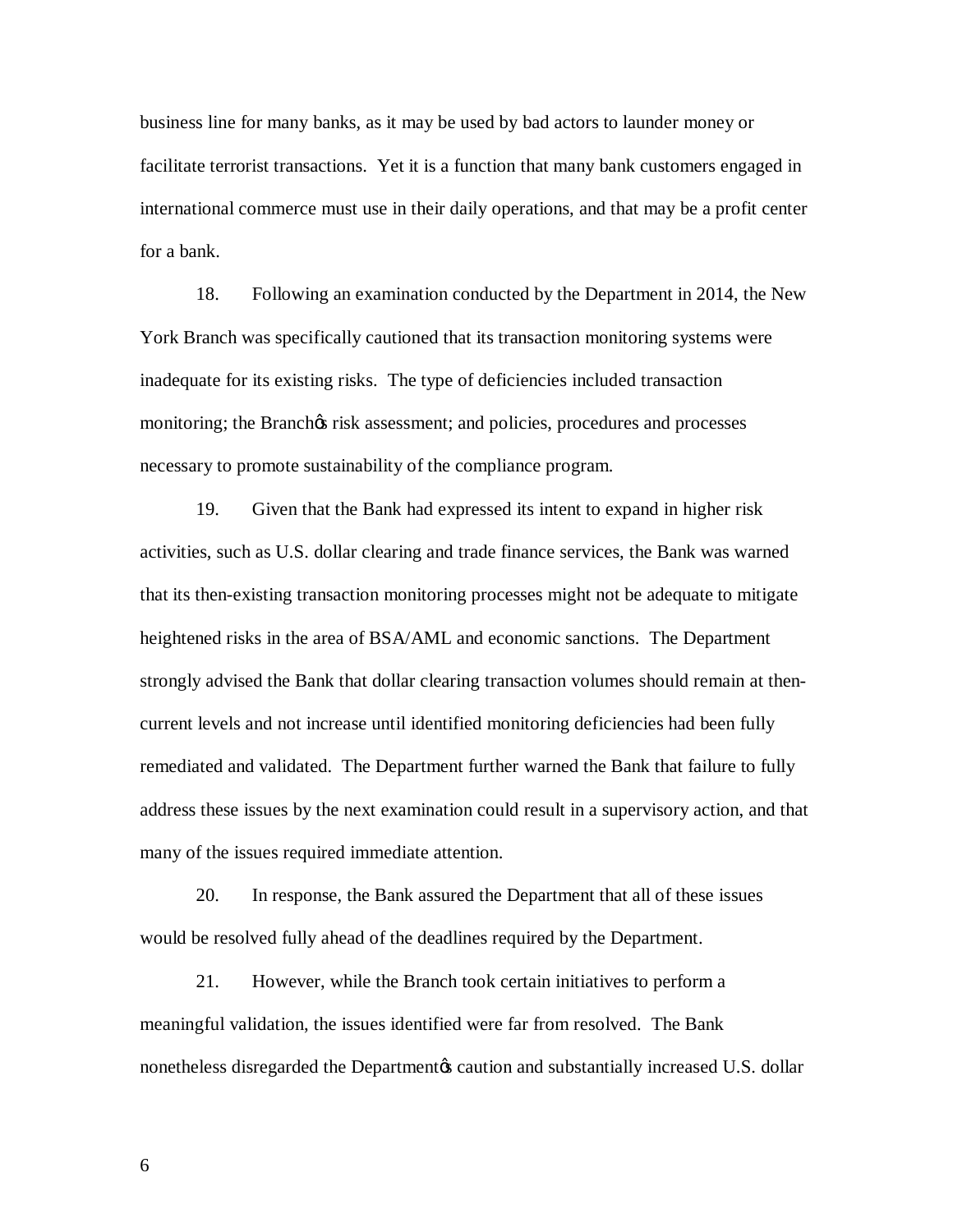business line for many banks, as it may be used by bad actors to launder money or facilitate terrorist transactions. Yet it is a function that many bank customers engaged in international commerce must use in their daily operations, and that may be a profit center for a bank.

 18. Following an examination conducted by the Department in 2014, the New York Branch was specifically cautioned that its transaction monitoring systems were inadequate for its existing risks. The type of deficiencies included transaction monitoring; the Branchos risk assessment; and policies, procedures and processes necessary to promote sustainability of the compliance program.

 19. Given that the Bank had expressed its intent to expand in higher risk activities, such as U.S. dollar clearing and trade finance services, the Bank was warned that its then-existing transaction monitoring processes might not be adequate to mitigate heightened risks in the area of BSA/AML and economic sanctions. The Department strongly advised the Bank that dollar clearing transaction volumes should remain at then- current levels and not increase until identified monitoring deficiencies had been fully remediated and validated. The Department further warned the Bank that failure to fully address these issues by the next examination could result in a supervisory action, and that many of the issues required immediate attention.

 20. In response, the Bank assured the Department that all of these issues would be resolved fully ahead of the deadlines required by the Department.

 21. However, while the Branch took certain initiatives to perform a meaningful validation, the issues identified were far from resolved. The Bank nonetheless disregarded the Departmentøs caution and substantially increased U.S. dollar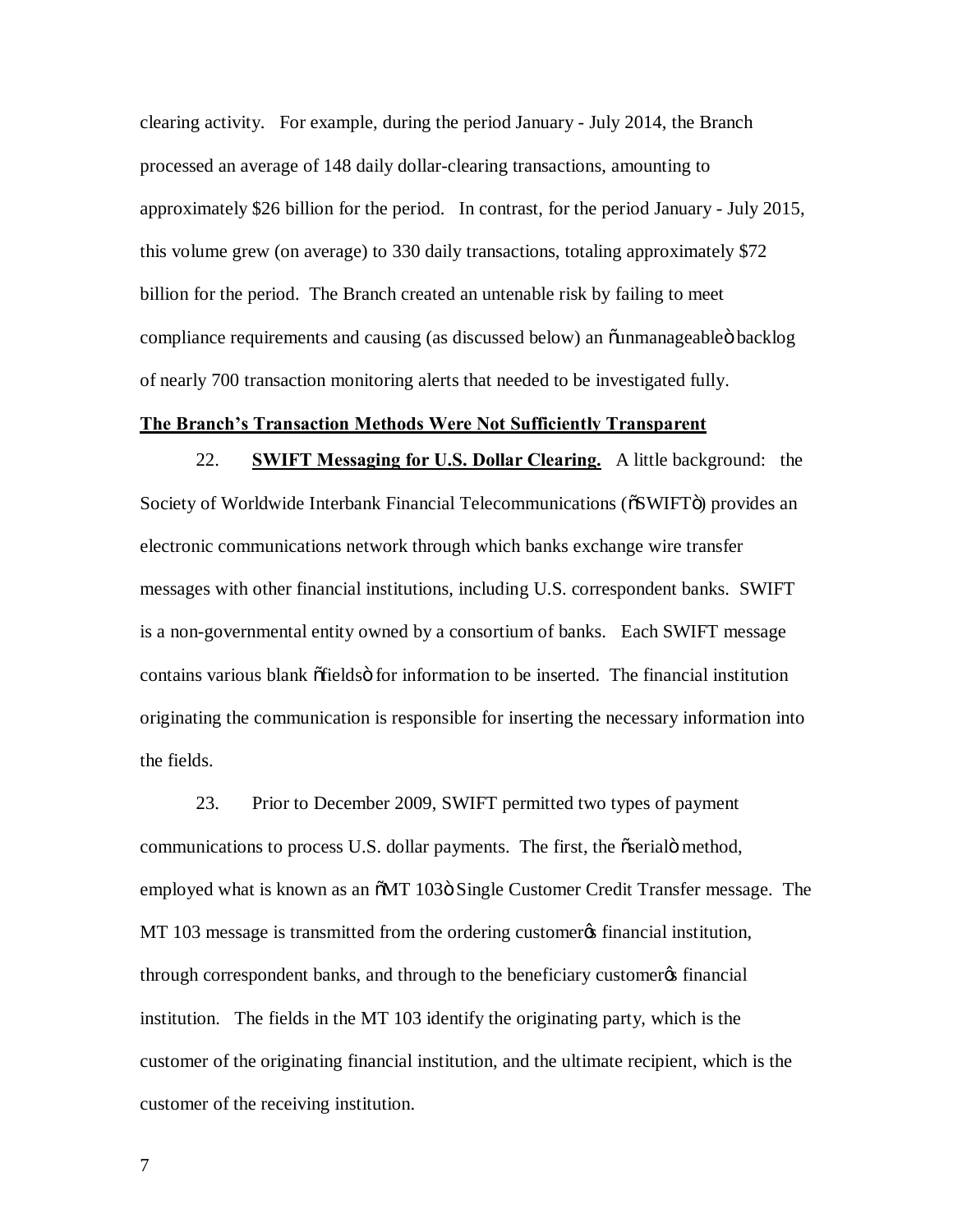clearing activity. For example, during the period January - July 2014, the Branch processed an average of 148 daily dollar-clearing transactions, amounting to approximately \$26 billion for the period. In contrast, for the period January - July 2015, this volume grew (on average) to 330 daily transactions, totaling approximately \$72 billion for the period. The Branch created an untenable risk by failing to meet compliance requirements and causing (as discussed below) an õunmanageableö backlog of nearly 700 transaction monitoring alerts that needed to be investigated fully.

### **The Branch's Transaction Methods Were Not Sufficiently Transparent**

 22. **SWIFT Messaging for U.S. Dollar Clearing.** A little background: the Society of Worldwide Interbank Financial Telecommunications ( $\delta$ SWIFTö) provides an messages with other financial institutions, including U.S. correspondent banks. SWIFT is a non-governmental entity owned by a consortium of banks. Each SWIFT message contains various blank õfieldsö for information to be inserted. The financial institution originating the communication is responsible for inserting the necessary information into electronic communications network through which banks exchange wire transfer the fields.

 23. Prior to December 2009, SWIFT permitted two types of payment communications to process U.S. dollar payments. The first, the oserial method, employed what is known as an  $\delta M$ T 103ö Single Customer Credit Transfer message. The MT 103 message is transmitted from the ordering customer *of financial institution*, through correspondent banks, and through to the beneficiary customer os financial institution. The fields in the MT 103 identify the originating party, which is the customer of the originating financial institution, and the ultimate recipient, which is the customer of the receiving institution.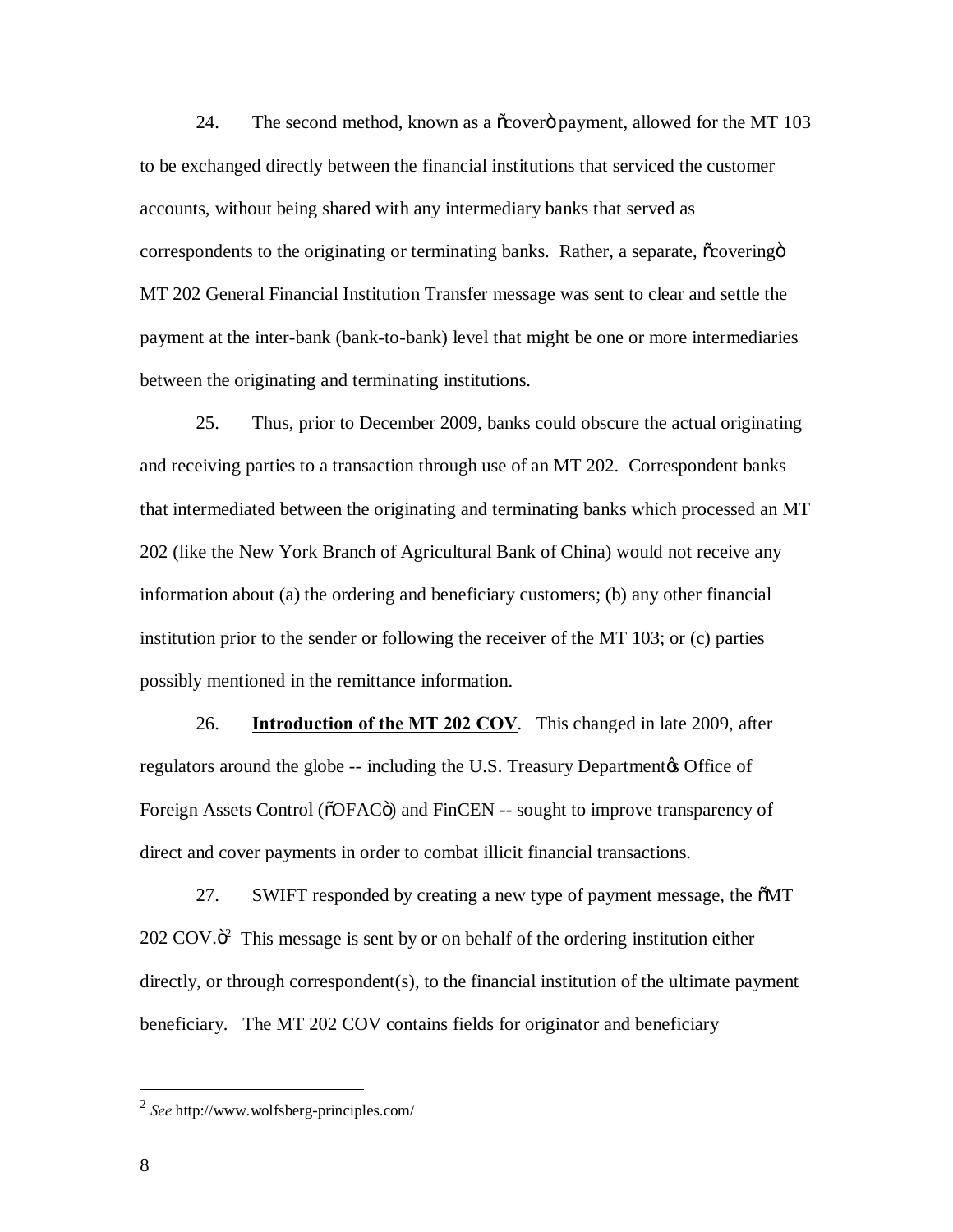24. The second method, known as a  $\tilde{\alpha}$  row as a  $\tilde{\alpha}$  payment, allowed for the MT 103 to be exchanged directly between the financial institutions that serviced the customer accounts, without being shared with any intermediary banks that served as correspondents to the originating or terminating banks. Rather, a separate,  $\tilde{\text{c}}$ overingö MT 202 General Financial Institution Transfer message was sent to clear and settle the payment at the inter-bank (bank-to-bank) level that might be one or more intermediaries between the originating and terminating institutions.

 25. Thus, prior to December 2009, banks could obscure the actual originating and receiving parties to a transaction through use of an MT 202. Correspondent banks that intermediated between the originating and terminating banks which processed an MT 202 (like the New York Branch of Agricultural Bank of China) would not receive any information about (a) the ordering and beneficiary customers; (b) any other financial institution prior to the sender or following the receiver of the MT 103; or (c) parties possibly mentioned in the remittance information.

26. **Introduction of the MT 202 COV**. This changed in late 2009, after regulators around the globe -- including the U.S. Treasury Department & Office of Foreign Assets Control (õOFACö) and FinCEN -- sought to improve transparency of direct and cover payments in order to combat illicit financial transactions.

27. SWIFT responded by creating a new type of payment message, the  $\delta MT$  $202 \text{ COV} \cdot \text{C}^2$  This message is sent by or on behalf of the ordering institution either directly, or through correspondent(s), to the financial institution of the ultimate payment beneficiary. The MT 202 COV contains fields for originator and beneficiary

 <sup>2</sup>*See* http://www.wolfsberg-principles.com/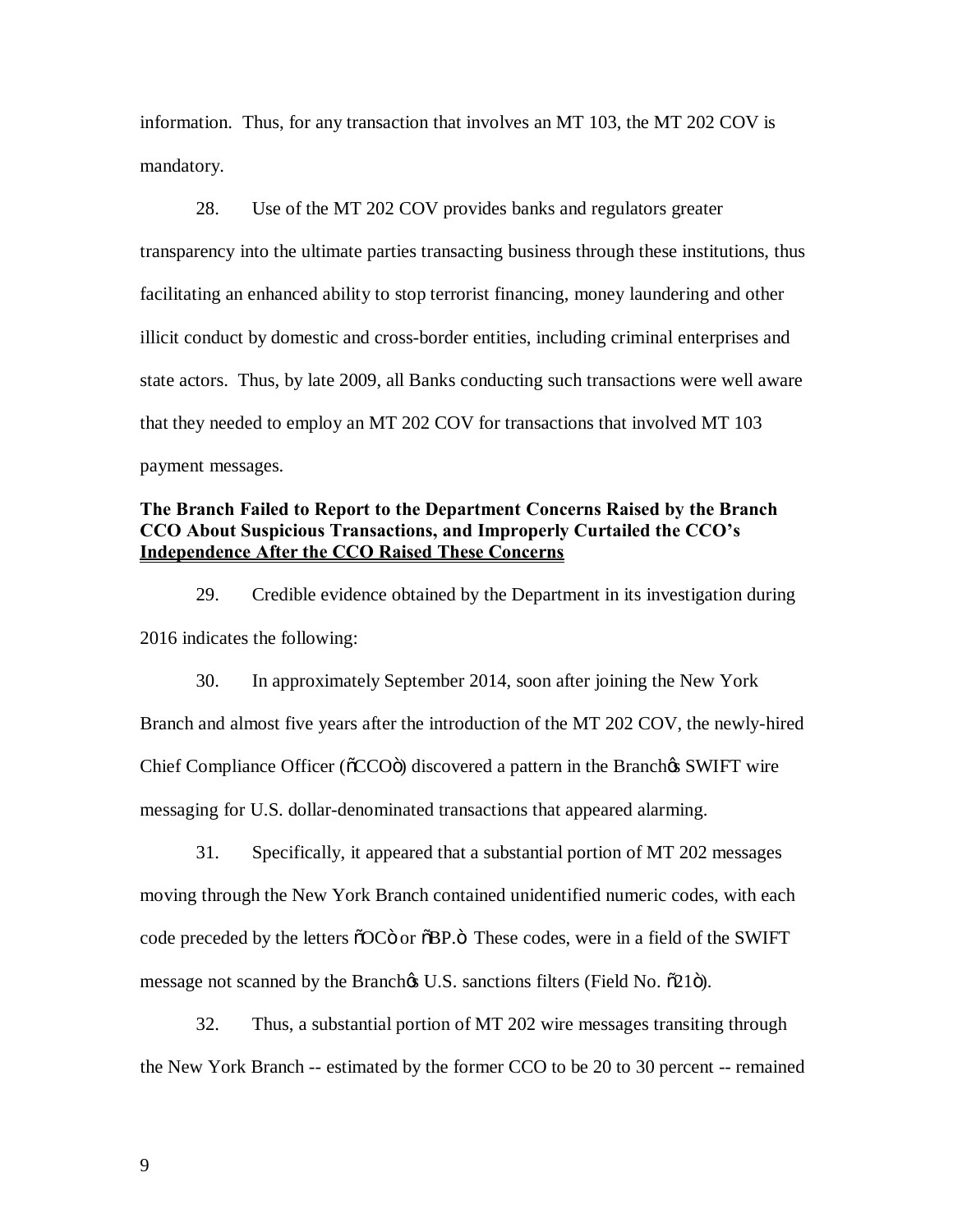information. Thus, for any transaction that involves an MT 103, the MT 202 COV is mandatory.

 28. Use of the MT 202 COV provides banks and regulators greater transparency into the ultimate parties transacting business through these institutions, thus facilitating an enhanced ability to stop terrorist financing, money laundering and other illicit conduct by domestic and cross-border entities, including criminal enterprises and state actors. Thus, by late 2009, all Banks conducting such transactions were well aware that they needed to employ an MT 202 COV for transactions that involved MT 103 payment messages.

# **The Branch Failed to Report to the Department Concerns Raised by the Branch CCO About Suspicious Transactions, and Improperly Curtailed the CCO's Independence After the CCO Raised These Concerns**

 29. Credible evidence obtained by the Department in its investigation during 2016 indicates the following:

 30. In approximately September 2014, soon after joining the New York Branch and almost five years after the introduction of the MT 202 COV, the newly-hired Chief Compliance Officer (õCCOö) discovered a pattern in the Branchos SWIFT wire messaging for U.S. dollar-denominated transactions that appeared alarming.

 31. Specifically, it appeared that a substantial portion of MT 202 messages moving through the New York Branch contained unidentified numeric codes, with each code preceded by the letters  $\delta$ OC $\ddot{\text{o}}$  or  $\delta$ BP. $\ddot{\text{o}}$  These codes, were in a field of the SWIFT message not scanned by the Branch $\alpha$  U.S. sanctions filters (Field No.  $\tilde{\alpha}$ 21 $\tilde{\sigma}$ ).

 32. Thus, a substantial portion of MT 202 wire messages transiting through the New York Branch -- estimated by the former CCO to be 20 to 30 percent -- remained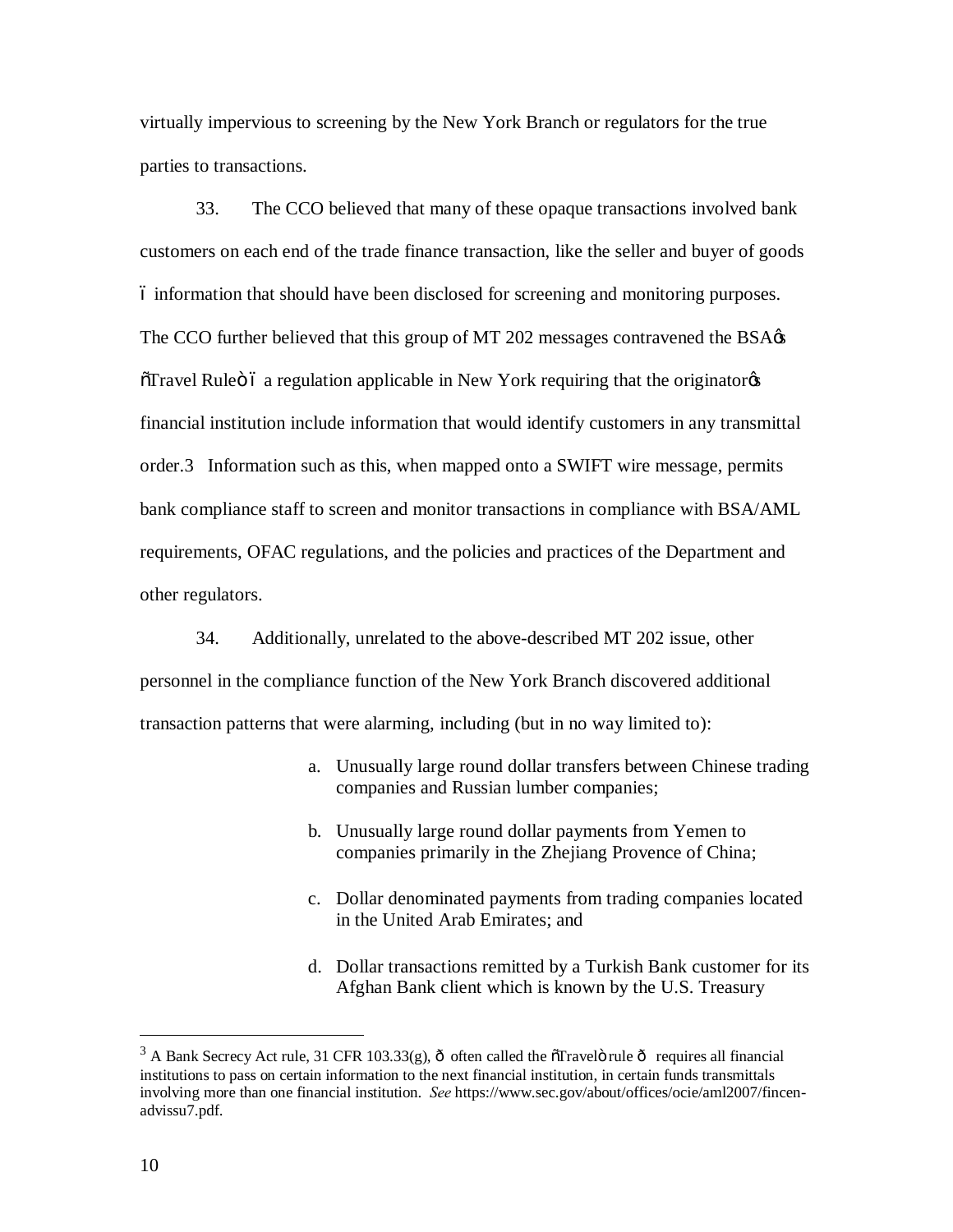virtually impervious to screening by the New York Branch or regulators for the true parties to transactions.

 33. The CCO believed that many of these opaque transactions involved bank customers on each end of the trade finance transaction, like the seller and buyer of goods – information that should have been disclosed for screening and monitoring purposes. The CCO further believed that this group of MT 202 messages contravened the BSA $\alpha$  $\delta$ Travel Ruleö ó a regulation applicable in New York requiring that the originator $\alpha$  financial institution include information that would identify customers in any transmittal order.3 Information such as this, when mapped onto a SWIFT wire message, permits bank compliance staff to screen and monitor transactions in compliance with BSA/AML requirements, OFAC regulations, and the policies and practices of the Department and other regulators.

 34. Additionally, unrelated to the above-described MT 202 issue, other personnel in the compliance function of the New York Branch discovered additional transaction patterns that were alarming, including (but in no way limited to):

- a. Unusually large round dollar transfers between Chinese trading companies and Russian lumber companies;
- b. Unusually large round dollar payments from Yemen to companies primarily in the Zhejiang Provence of China;
- c. Dollar denominated payments from trading companies located in the United Arab Emirates; and
- d. Dollar transactions remitted by a Turkish Bank customer for its Afghan Bank client which is known by the U.S. Treasury

<u>.</u>

<sup>&</sup>lt;sup>3</sup> A Bank Secrecy Act rule, 31 CFR 103.33(g),  $\hat{o}$  often called the  $\hat{o}$ Travel $\hat{o}$  requires all financial institutions to pass on certain information to the next financial institution, in certain funds transmittals involving more than one financial institution. *See* https://www.sec.gov/about/offices/ocie/aml2007/fincenadvissu7.pdf.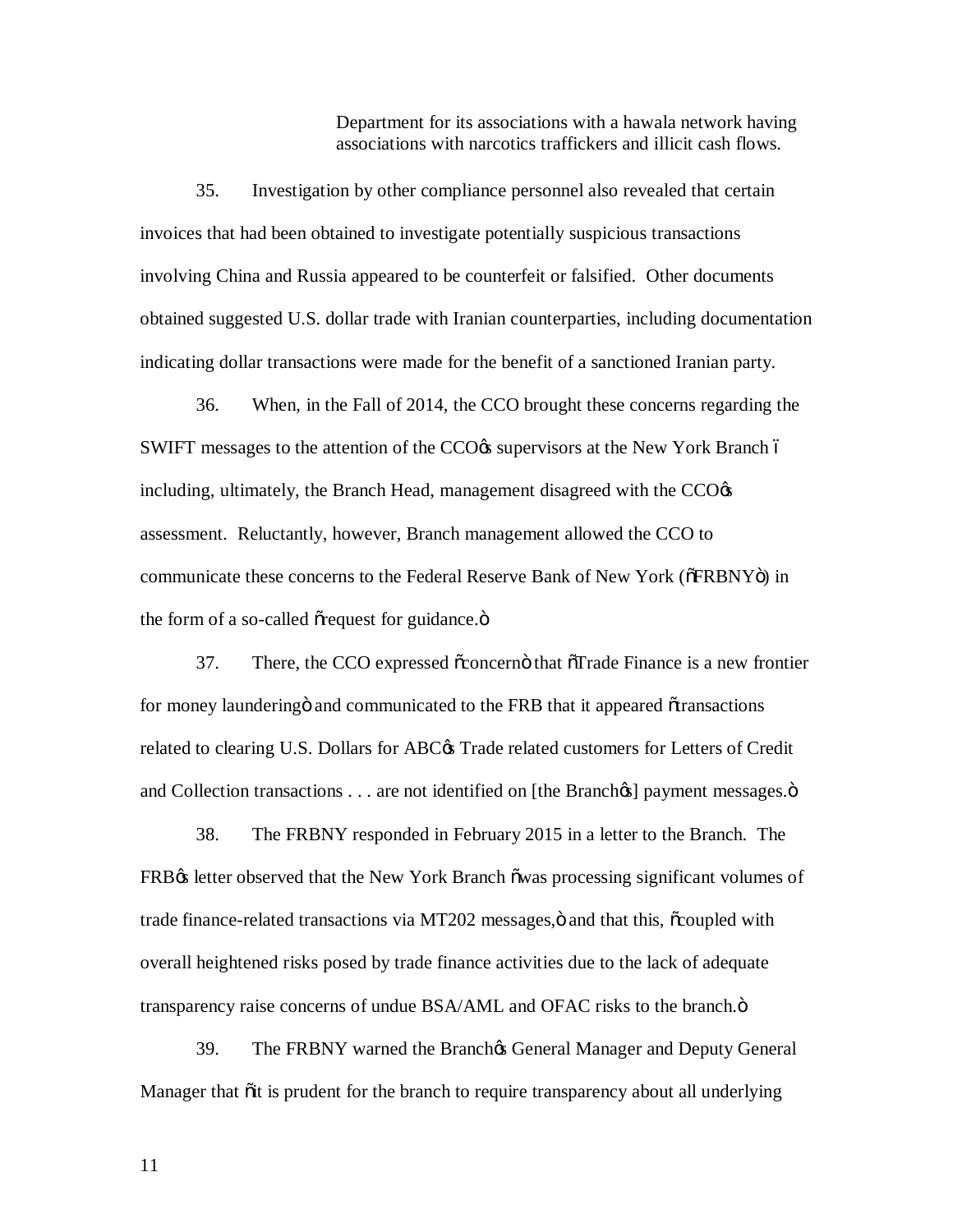Department for its associations with a hawala network having associations with narcotics traffickers and illicit cash flows.

 35. Investigation by other compliance personnel also revealed that certain invoices that had been obtained to investigate potentially suspicious transactions involving China and Russia appeared to be counterfeit or falsified. Other documents obtained suggested U.S. dollar trade with Iranian counterparties, including documentation indicating dollar transactions were made for the benefit of a sanctioned Iranian party.

 36. When, in the Fall of 2014, the CCO brought these concerns regarding the SWIFT messages to the attention of the CCO $\alpha$  supervisors at the New York Branch ó including, ultimately, the Branch Head, management disagreed with the  $CCO$  $\alpha$  assessment. Reluctantly, however, Branch management allowed the CCO to communicate these concerns to the Federal Reserve Bank of New York (of FRBNYO) in the form of a so-called or equest for guidance.o

37. There, the CCO expressed  $\tilde{\alpha}$  concerno that  $\tilde{\alpha}$ Trade Finance is a new frontier for money launderingö and communicated to the FRB that it appeared õtransactions related to clearing U.S. Dollars for ABC $\alpha$  Trade related customers for Letters of Credit and Collection transactions . . . are not identified on [the Branchox] payment messages.ö

 38. The FRBNY responded in February 2015 in a letter to the Branch. The FRB $\alpha$  letter observed that the New York Branch õwas processing significant volumes of trade finance-related transactions via MT202 messages, ö and that this,  $\tilde{\text{c}}$ coupled with overall heightened risks posed by trade finance activities due to the lack of adequate transparency raise concerns of undue BSA/AML and OFAC risks to the branch. $\ddot{o}$ 

39. The FRBNY warned the Branch & General Manager and Deputy General Manager that  $\ddot{\text{o}}$ it is prudent for the branch to require transparency about all underlying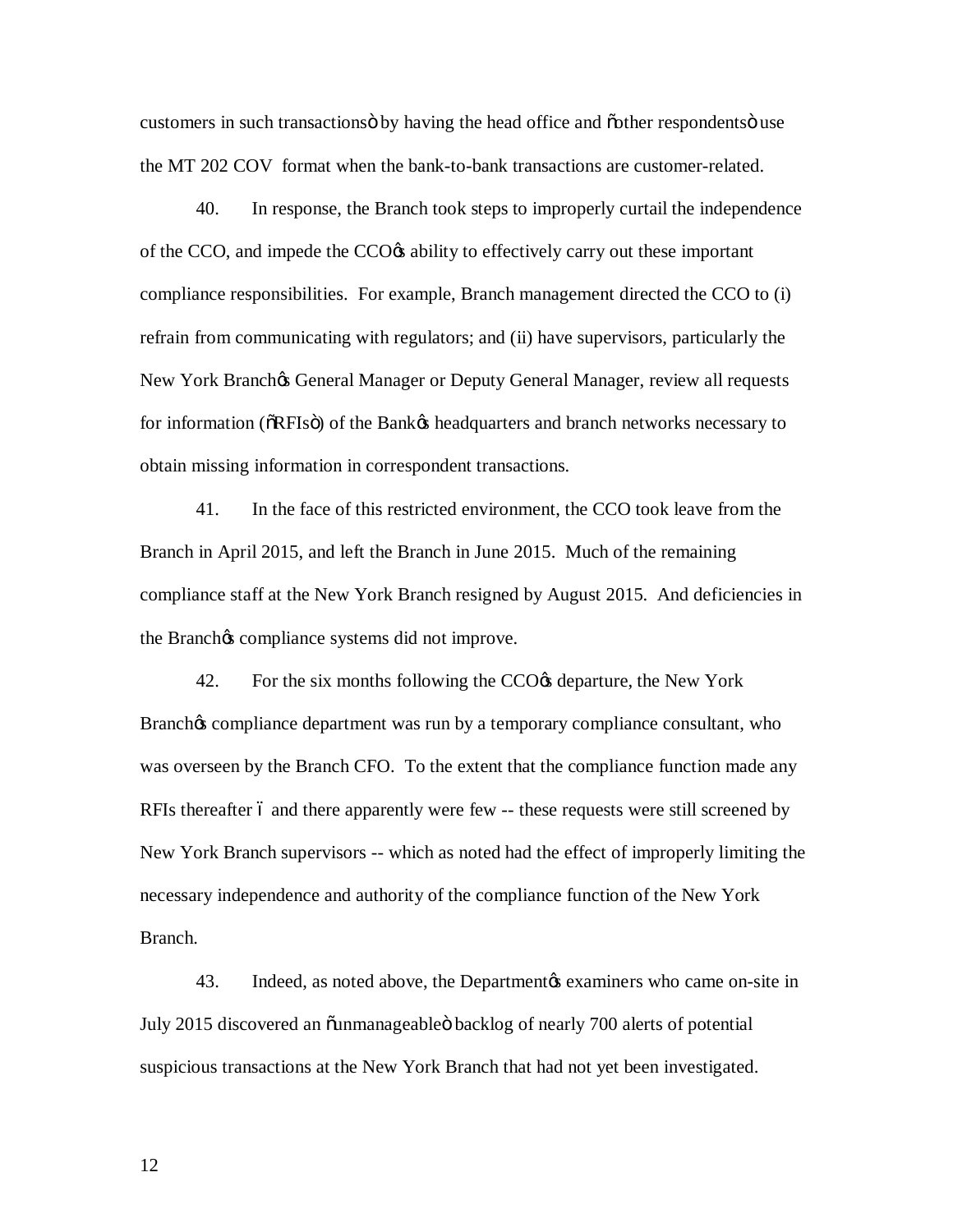customers in such transactionsö by having the head office and õother respondentsö use the MT 202 COV format when the bank-to-bank transactions are customer-related.

 40. In response, the Branch took steps to improperly curtail the independence of the CCO, and impede the CCO $\alpha$  ability to effectively carry out these important compliance responsibilities. For example, Branch management directed the CCO to (i) refrain from communicating with regulators; and (ii) have supervisors, particularly the New York Branchøs General Manager or Deputy General Manager, review all requests for information (ORFIsö) of the Bankøs headquarters and branch networks necessary to obtain missing information in correspondent transactions.

 41. In the face of this restricted environment, the CCO took leave from the Branch in April 2015, and left the Branch in June 2015. Much of the remaining compliance staff at the New York Branch resigned by August 2015. And deficiencies in the Branch<sub>*S*</sub> compliance systems did not improve.

42. For the six months following the CCO $\alpha$  departure, the New York Branchøs compliance department was run by a temporary compliance consultant, who was overseen by the Branch CFO. To the extent that the compliance function made any RFIs thereafter 6 and there apparently were few -- these requests were still screened by New York Branch supervisors -- which as noted had the effect of improperly limiting the necessary independence and authority of the compliance function of the New York Branch. Branch.<br>43. Indeed, as noted above, the Department is examiners who came on-site in

July 2015 discovered an õunmanageableö backlog of nearly 700 alerts of potential suspicious transactions at the New York Branch that had not yet been investigated.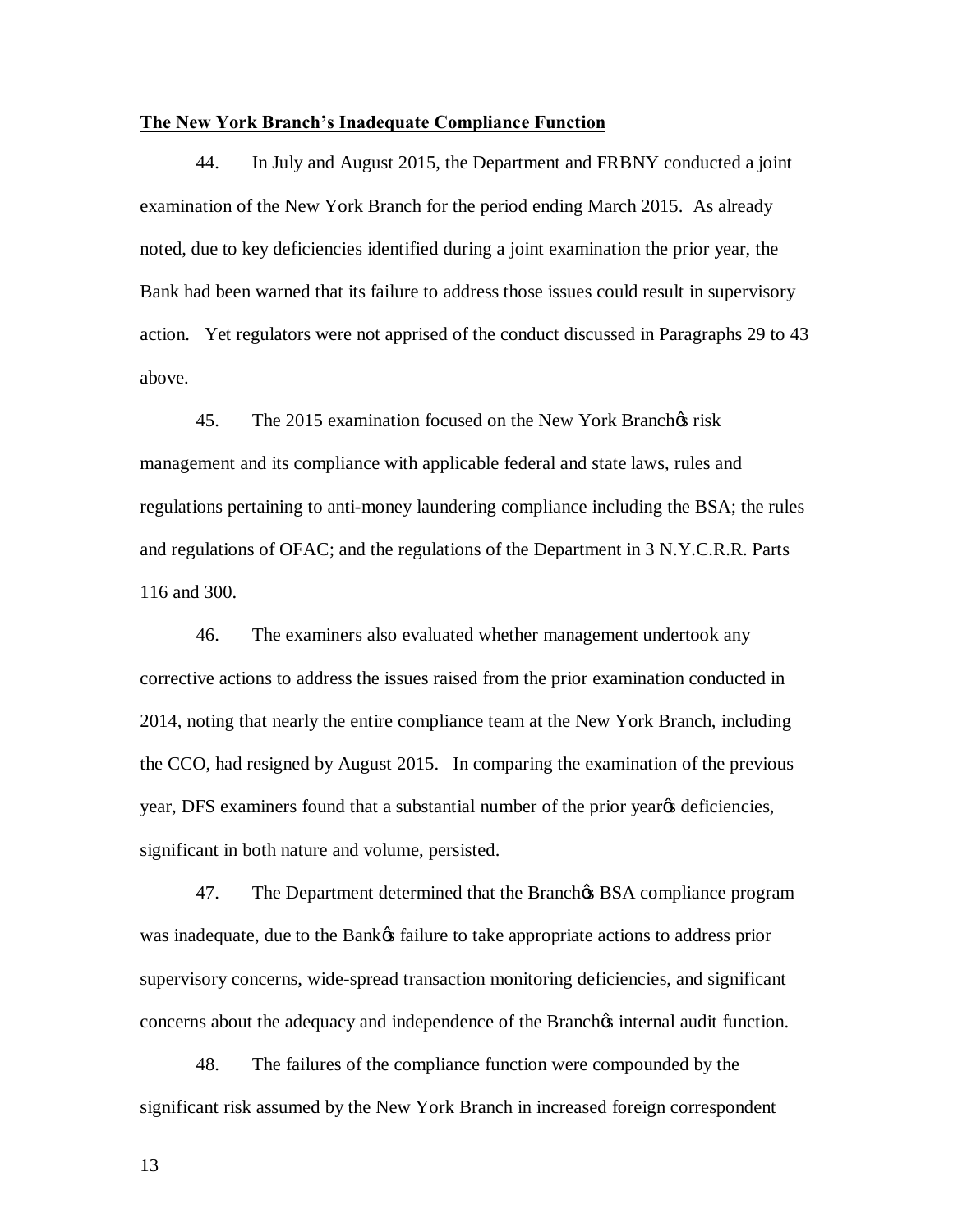### **The New York Branch's Inadequate Compliance Function**

 44. In July and August 2015, the Department and FRBNY conducted a joint examination of the New York Branch for the period ending March 2015. As already noted, due to key deficiencies identified during a joint examination the prior year, the Bank had been warned that its failure to address those issues could result in supervisory action. Yet regulators were not apprised of the conduct discussed in Paragraphs 29 to 43 above.

45. The 2015 examination focused on the New York Branchos risk management and its compliance with applicable federal and state laws, rules and regulations pertaining to anti-money laundering compliance including the BSA; the rules and regulations of OFAC; and the regulations of the Department in 3 N.Y.C.R.R. Parts 116 and 300.

 46. The examiners also evaluated whether management undertook any corrective actions to address the issues raised from the prior examination conducted in 2014, noting that nearly the entire compliance team at the New York Branch, including the CCO, had resigned by August 2015. In comparing the examination of the previous year, DFS examiners found that a substantial number of the prior year os deficiencies, significant in both nature and volume, persisted.

47. The Department determined that the Branch & BSA compliance program was inadequate, due to the Bank $\alpha$  failure to take appropriate actions to address prior supervisory concerns, wide-spread transaction monitoring deficiencies, and significant concerns about the adequacy and independence of the Branch $\alpha$  internal audit function.

 48. The failures of the compliance function were compounded by the significant risk assumed by the New York Branch in increased foreign correspondent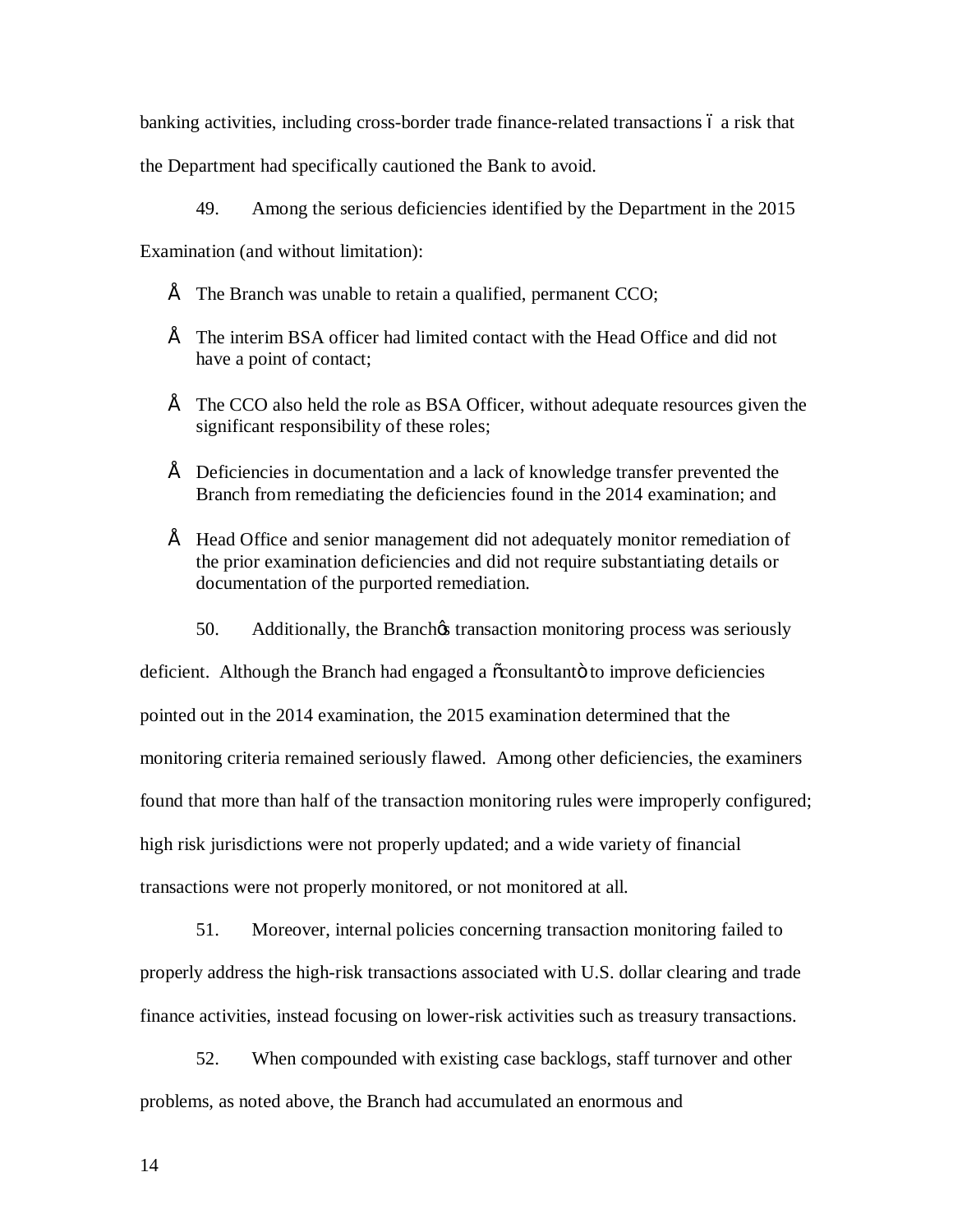banking activities, including cross-border trade finance-related transactions 6 a risk that

the Department had specifically cautioned the Bank to avoid.

49. Among the serious deficiencies identified by the Department in the 2015

Examination (and without limitation):

- $\acute{E}$  The Branch was unable to retain a qualified, permanent CCO;
- $\hat{E}$  The interim BSA officer had limited contact with the Head Office and did not have a point of contact;
- $\acute{E}$  The CCO also held the role as BSA Officer, without adequate resources given the significant responsibility of these roles;
- $\acute{E}$  Deficiencies in documentation and a lack of knowledge transfer prevented the Branch from remediating the deficiencies found in the 2014 examination; and
- • Head Office and senior management did not adequately monitor remediation of the prior examination deficiencies and did not require substantiating details or documentation of the purported remediation.
	- 50. Additionally, the Branch $\alpha$  transaction monitoring process was seriously

deficient. Although the Branch had engaged a õconsultantö to improve deficiencies pointed out in the 2014 examination, the 2015 examination determined that the monitoring criteria remained seriously flawed. Among other deficiencies, the examiners found that more than half of the transaction monitoring rules were improperly configured; high risk jurisdictions were not properly updated; and a wide variety of financial transactions were not properly monitored, or not monitored at all.

 51. Moreover, internal policies concerning transaction monitoring failed to properly address the high-risk transactions associated with U.S. dollar clearing and trade finance activities, instead focusing on lower-risk activities such as treasury transactions.

 52. When compounded with existing case backlogs, staff turnover and other problems, as noted above, the Branch had accumulated an enormous and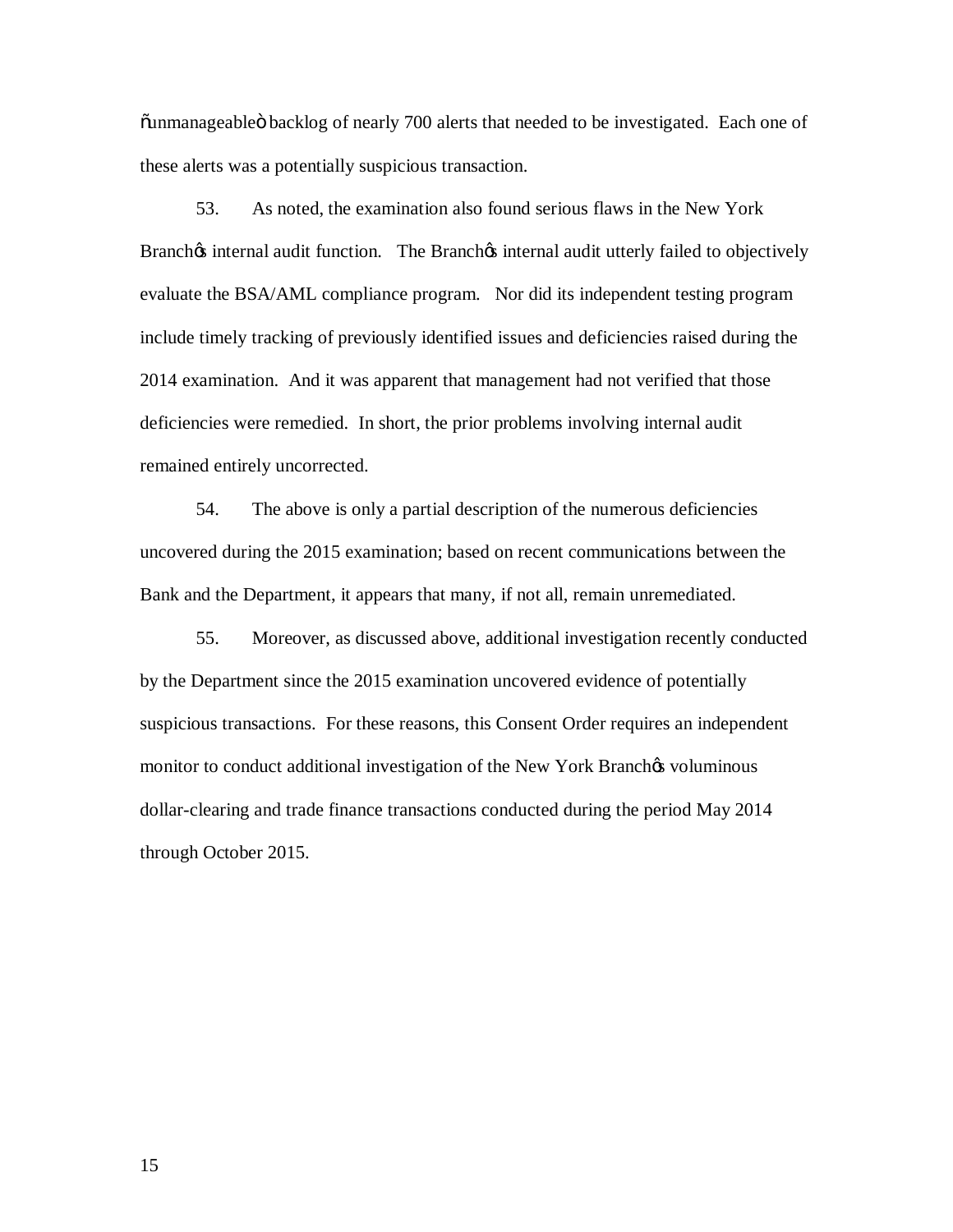õunmanageableö backlog of nearly 700 alerts that needed to be investigated. Each one of these alerts was a potentially suspicious transaction.

 53. As noted, the examination also found serious flaws in the New York Branch $\alpha$  internal audit function. The Branch $\alpha$  internal audit utterly failed to objectively evaluate the BSA/AML compliance program. Nor did its independent testing program include timely tracking of previously identified issues and deficiencies raised during the 2014 examination. And it was apparent that management had not verified that those deficiencies were remedied. In short, the prior problems involving internal audit remained entirely uncorrected.

 54. The above is only a partial description of the numerous deficiencies uncovered during the 2015 examination; based on recent communications between the Bank and the Department, it appears that many, if not all, remain unremediated.

 55. Moreover, as discussed above, additional investigation recently conducted by the Department since the 2015 examination uncovered evidence of potentially suspicious transactions. For these reasons, this Consent Order requires an independent monitor to conduct additional investigation of the New York Branchos voluminous through October 2015. dollar-clearing and trade finance transactions conducted during the period May 2014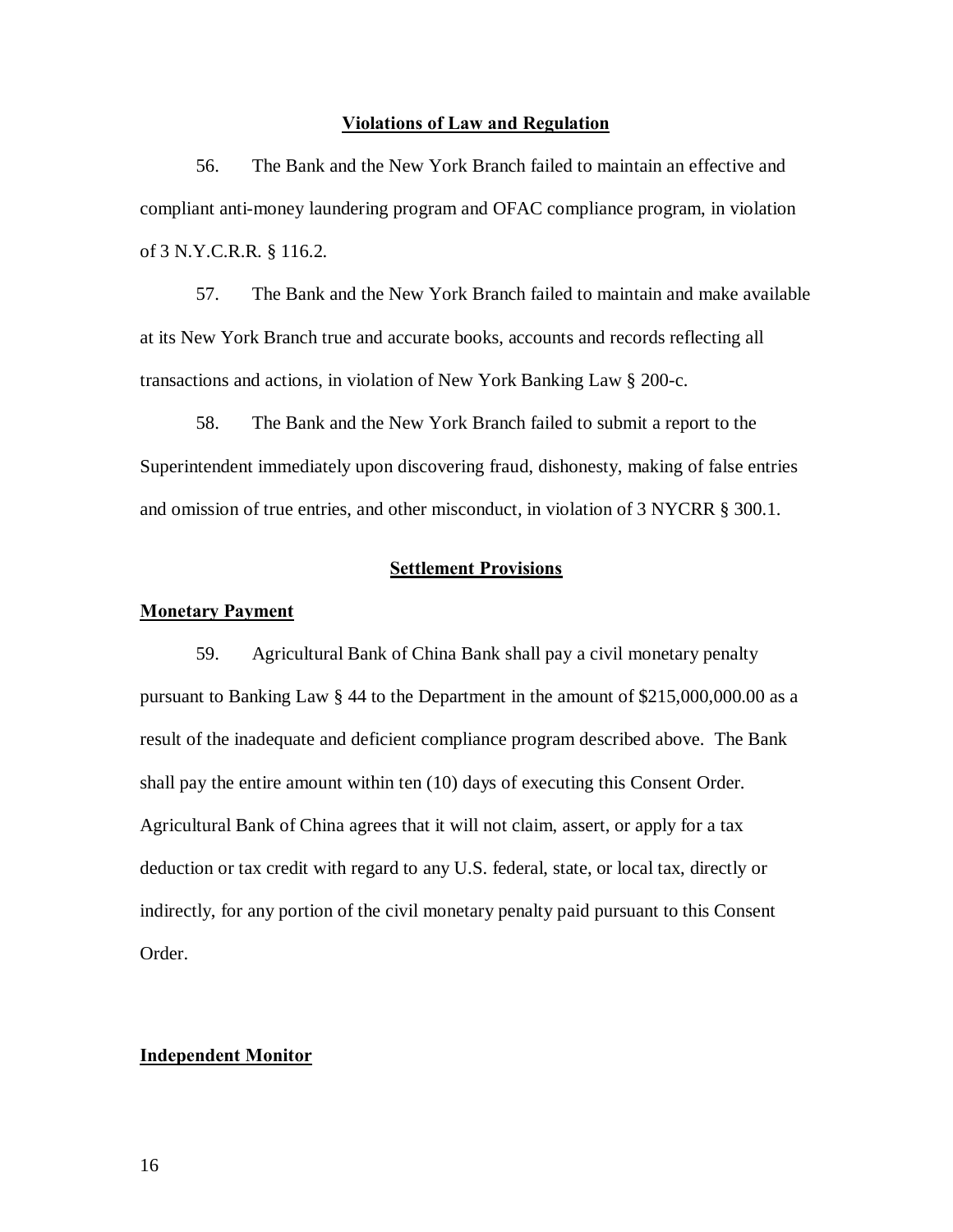### **Violations of Law and Regulation**

 56. The Bank and the New York Branch failed to maintain an effective and compliant anti-money laundering program and OFAC compliance program, in violation of 3 N.Y.C.R.R. § 116.2.

 at its New York Branch true and accurate books, accounts and records reflecting all transactions and actions, in violation of New York Banking Law § 200-c. 57. The Bank and the New York Branch failed to maintain and make available

 58. The Bank and the New York Branch failed to submit a report to the Superintendent immediately upon discovering fraud, dishonesty, making of false entries and omission of true entries, and other misconduct, in violation of 3 NYCRR § 300.1.

### **Settlement Provisions**

#### **Monetary Payment**

 59. Agricultural Bank of China Bank shall pay a civil monetary penalty pursuant to Banking Law § 44 to the Department in the amount of \$215,000,000.00 as a result of the inadequate and deficient compliance program described above. The Bank shall pay the entire amount within ten (10) days of executing this Consent Order. Agricultural Bank of China agrees that it will not claim, assert, or apply for a tax deduction or tax credit with regard to any U.S. federal, state, or local tax, directly or indirectly, for any portion of the civil monetary penalty paid pursuant to this Consent Order.

### **Independent Monitor**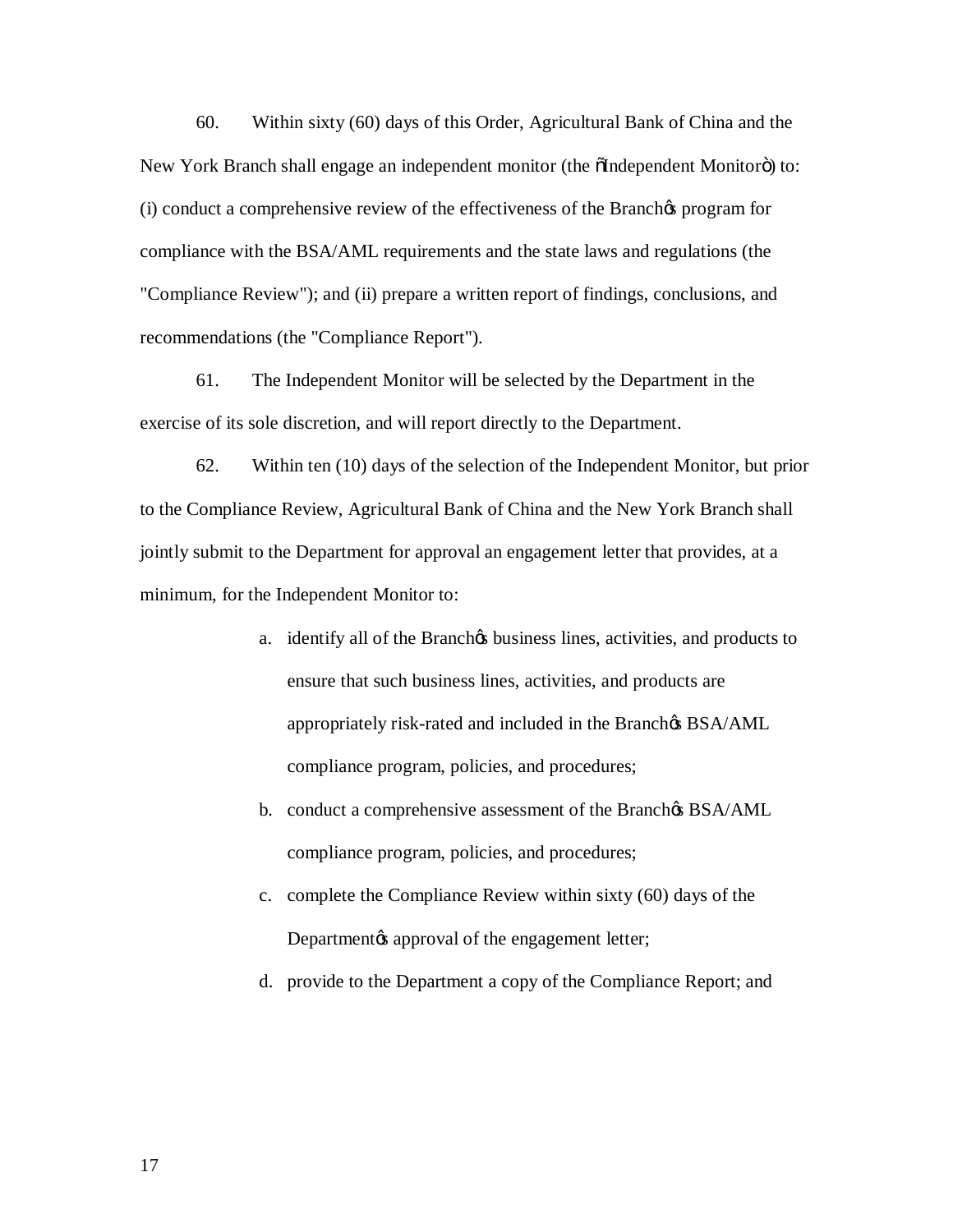60. Within sixty (60) days of this Order, Agricultural Bank of China and the New York Branch shall engage an independent monitor (the õIndependent Monitorö) to: (i) conduct a comprehensive review of the effectiveness of the Branch $\alpha$  program for "Compliance Review"); and (ii) prepare a written report of findings, conclusions, and compliance with the BSA/AML requirements and the state laws and regulations (the recommendations (the "Compliance Report").

 61. The Independent Monitor will be selected by the Department in the exercise of its sole discretion, and will report directly to the Department.

 62. Within ten (10) days of the selection of the Independent Monitor, but prior to the Compliance Review, Agricultural Bank of China and the New York Branch shall jointly submit to the Department for approval an engagement letter that provides, at a minimum, for the Independent Monitor to:

- a. identify all of the Branchos business lines, activities, and products to ensure that such business lines, activities, and products are appropriately risk-rated and included in the Branch& BSA/AML compliance program, policies, and procedures;
- b. conduct a comprehensive assessment of the Branch $\alpha$  BSA/AML compliance program, policies, and procedures;
- c. complete the Compliance Review within sixty (60) days of the Departmentøs approval of the engagement letter;
- d. provide to the Department a copy of the Compliance Report; and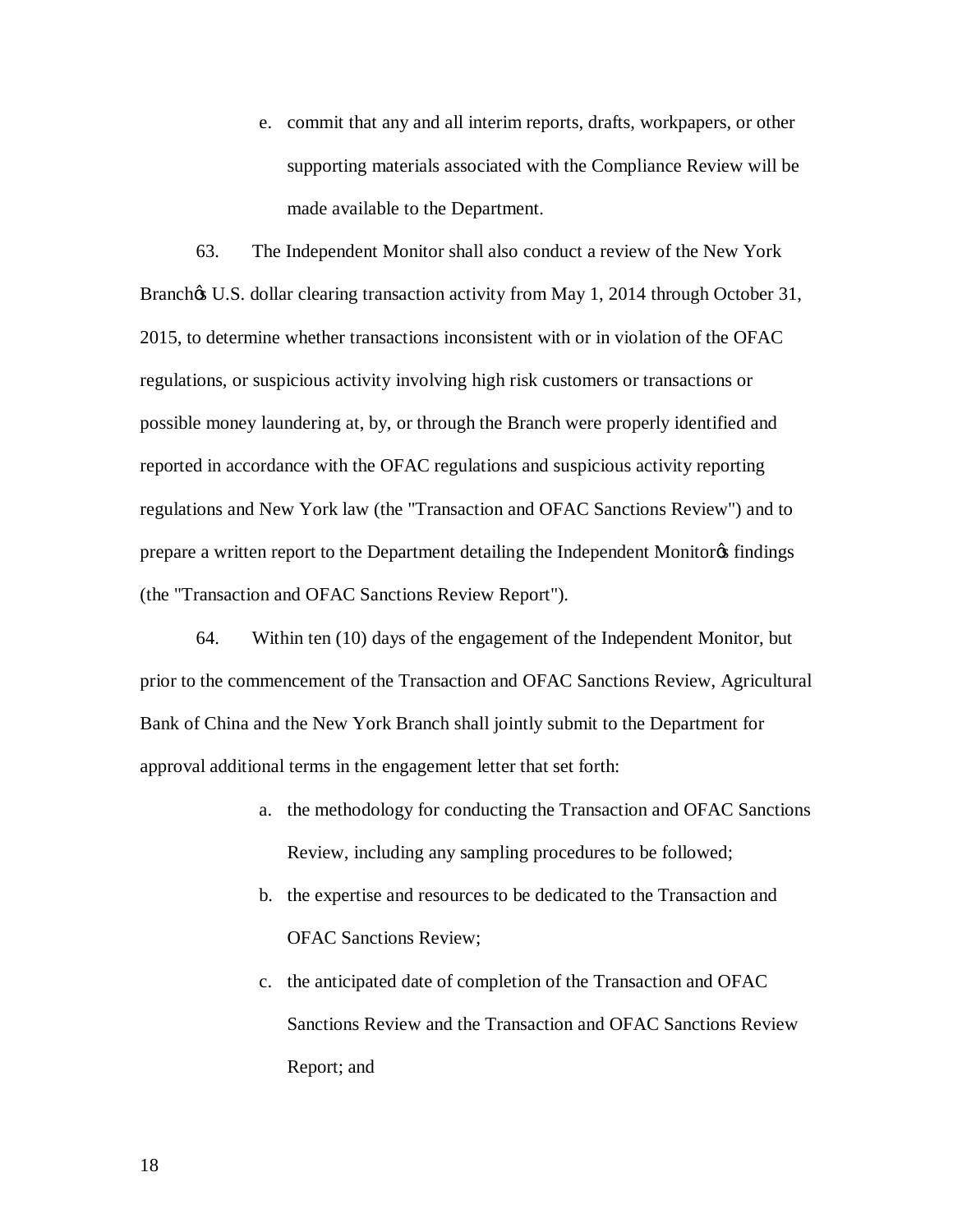e. commit that any and all interim reports, drafts, workpapers, or other supporting materials associated with the Compliance Review will be made available to the Department.

 63. The Independent Monitor shall also conduct a review of the New York Branchøs U.S. dollar clearing transaction activity from May 1, 2014 through October 31, 2015, to determine whether transactions inconsistent with or in violation of the OFAC regulations, or suspicious activity involving high risk customers or transactions or possible money laundering at, by, or through the Branch were properly identified and reported in accordance with the OFAC regulations and suspicious activity reporting regulations and New York law (the "Transaction and OFAC Sanctions Review") and to prepare a written report to the Department detailing the Independent Monitor & findings (the "Transaction and OFAC Sanctions Review Report").

 64. Within ten (10) days of the engagement of the Independent Monitor, but prior to the commencement of the Transaction and OFAC Sanctions Review, Agricultural Bank of China and the New York Branch shall jointly submit to the Department for approval additional terms in the engagement letter that set forth:

- a. the methodology for conducting the Transaction and OFAC Sanctions Review, including any sampling procedures to be followed;
- b. the expertise and resources to be dedicated to the Transaction and OFAC Sanctions Review;
- c. the anticipated date of completion of the Transaction and OFAC Report; and Sanctions Review and the Transaction and OFAC Sanctions Review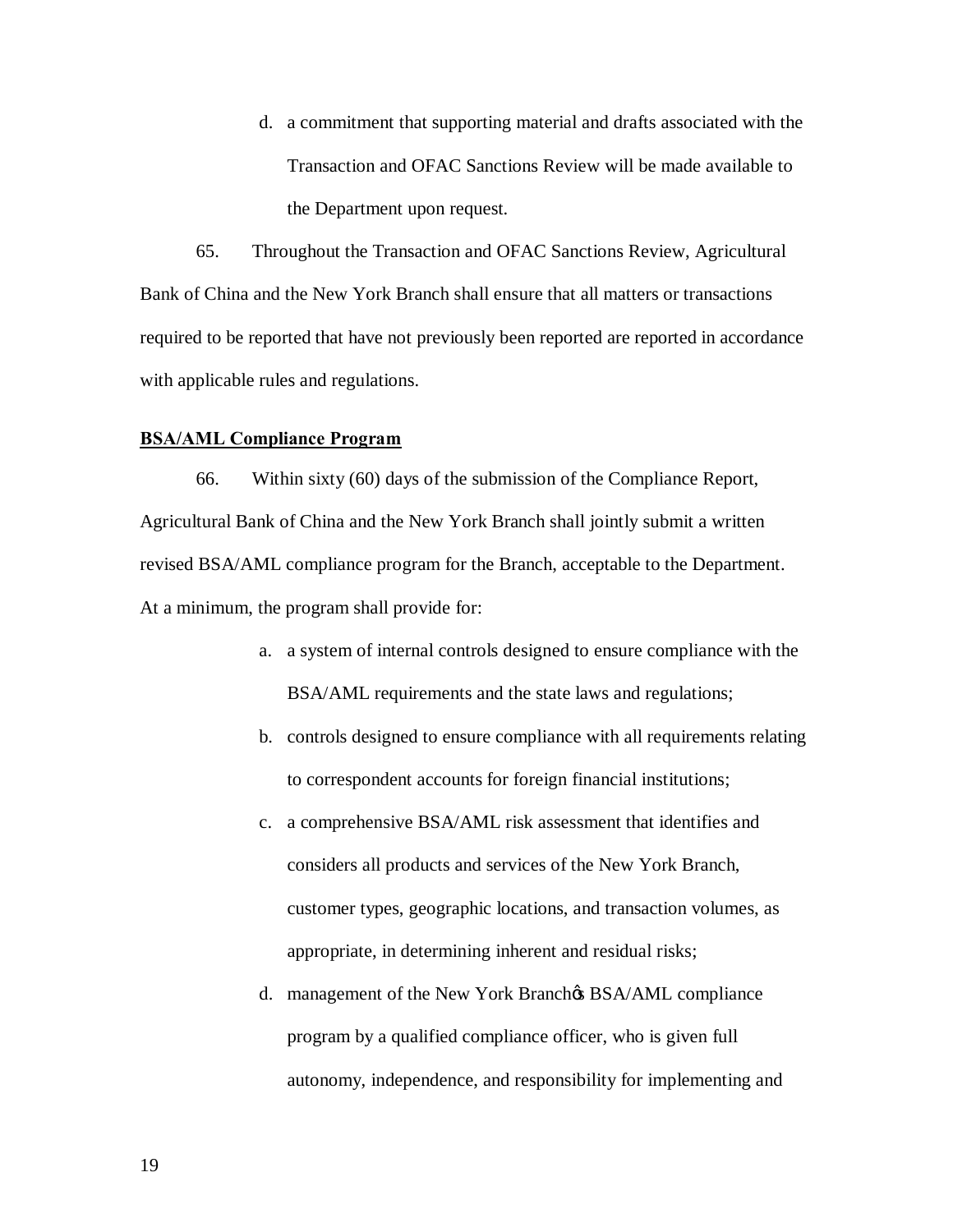d. a commitment that supporting material and drafts associated with the Transaction and OFAC Sanctions Review will be made available to the Department upon request.

 65. Throughout the Transaction and OFAC Sanctions Review, Agricultural Bank of China and the New York Branch shall ensure that all matters or transactions required to be reported that have not previously been reported are reported in accordance with applicable rules and regulations.

### **BSA/AML Compliance Program**

 66. Within sixty (60) days of the submission of the Compliance Report, Agricultural Bank of China and the New York Branch shall jointly submit a written revised BSA/AML compliance program for the Branch, acceptable to the Department. At a minimum, the program shall provide for:

- a. a system of internal controls designed to ensure compliance with the BSA/AML requirements and the state laws and regulations;
- b. controls designed to ensure compliance with all requirements relating to correspondent accounts for foreign financial institutions;
- c. a comprehensive BSA/AML risk assessment that identifies and considers all products and services of the New York Branch, customer types, geographic locations, and transaction volumes, as appropriate, in determining inherent and residual risks;
- d. management of the New York Branchos BSA/AML compliance program by a qualified compliance officer, who is given full autonomy, independence, and responsibility for implementing and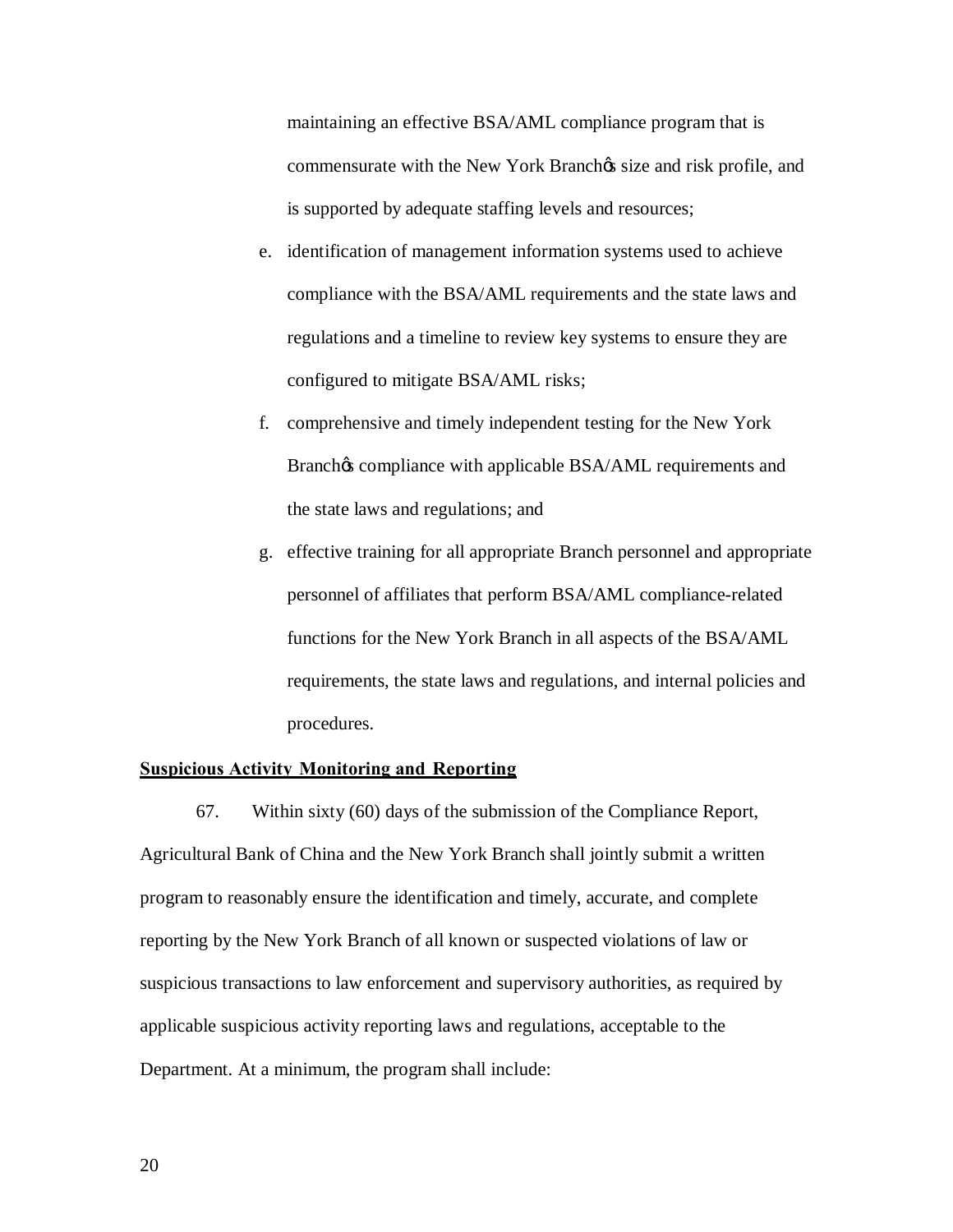maintaining an effective BSA/AML compliance program that is commensurate with the New York Branchos size and risk profile, and is supported by adequate staffing levels and resources;

- e. identification of management information systems used to achieve regulations and a timeline to review key systems to ensure they are configured to mitigate BSA/AML risks; compliance with the BSA/AML requirements and the state laws and
- f. comprehensive and timely independent testing for the New York the state laws and regulations; and Branch $\&$  compliance with applicable BSA/AML requirements and
- g. effective training for all appropriate Branch personnel and appropriate personnel of affiliates that perform BSA/AML compliance-related functions for the New York Branch in all aspects of the BSA/AML requirements, the state laws and regulations, and internal policies and procedures.

### **Suspicious Activity Monitoring and Reporting**

 67. Within sixty (60) days of the submission of the Compliance Report, Agricultural Bank of China and the New York Branch shall jointly submit a written program to reasonably ensure the identification and timely, accurate, and complete reporting by the New York Branch of all known or suspected violations of law or suspicious transactions to law enforcement and supervisory authorities, as required by applicable suspicious activity reporting laws and regulations, acceptable to the Department. At a minimum, the program shall include: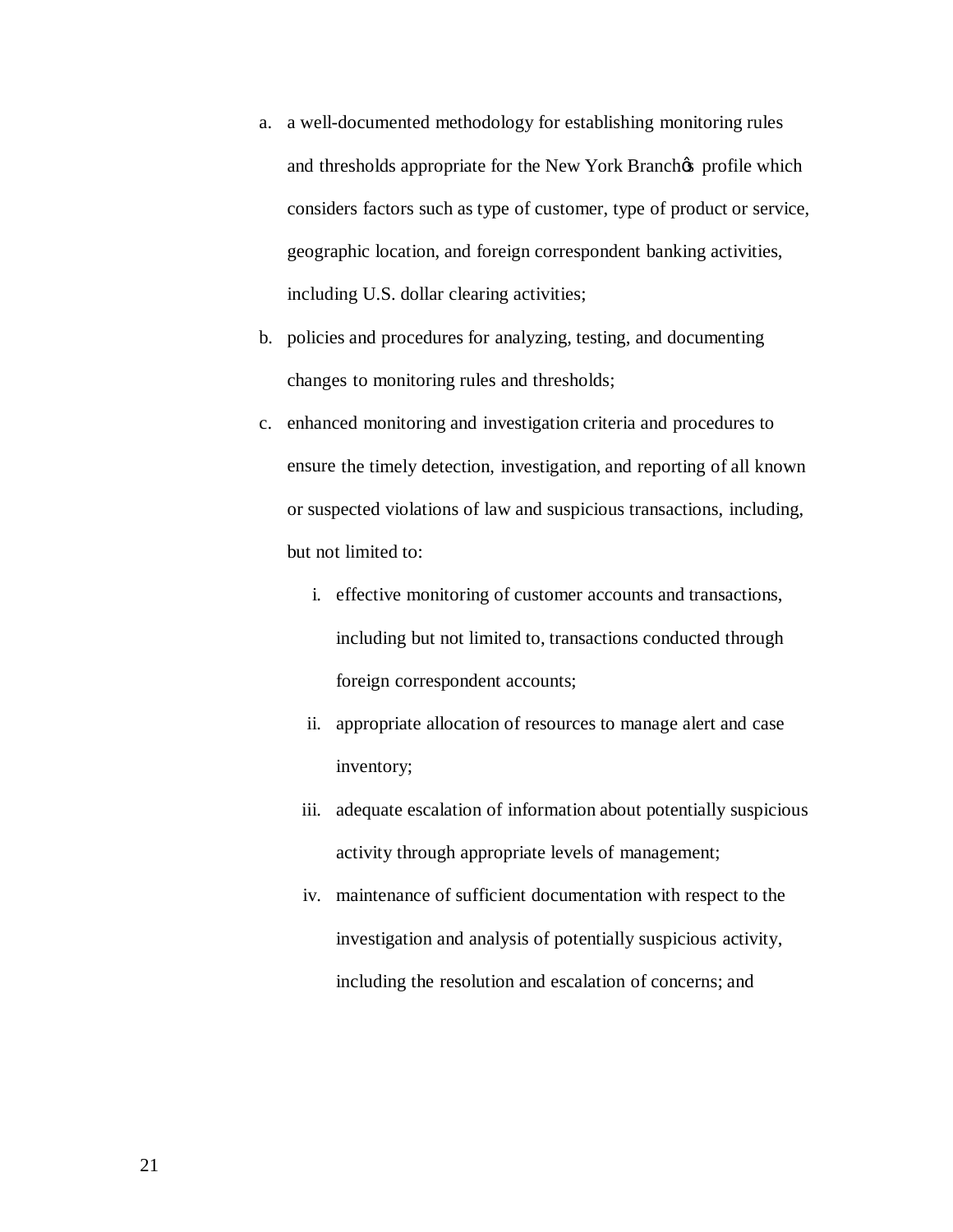- a. a well-documented methodology for establishing monitoring rules and thresholds appropriate for the New York Branch profile which considers factors such as type of customer, type of product or service, geographic location, and foreign correspondent banking activities, including U.S. dollar clearing activities;
- b. policies and procedures for analyzing, testing, and documenting changes to monitoring rules and thresholds;
- c. enhanced monitoring and investigation criteria and procedures to ensure the timely detection, investigation, and reporting of all known or suspected violations of law and suspicious transactions, including, but not limited to:
	- i. effective monitoring of customer accounts and transactions, including but not limited to, transactions conducted through foreign correspondent accounts;
	- ii. appropriate allocation of resources to manage alert and case inventory;
	- inventory;<br>iii. adequate escalation of information about potentially suspicious activity through appropriate levels of management;
	- iv. maintenance of sufficient documentation with respect to the investigation and analysis of potentially suspicious activity, including the resolution and escalation of concerns; and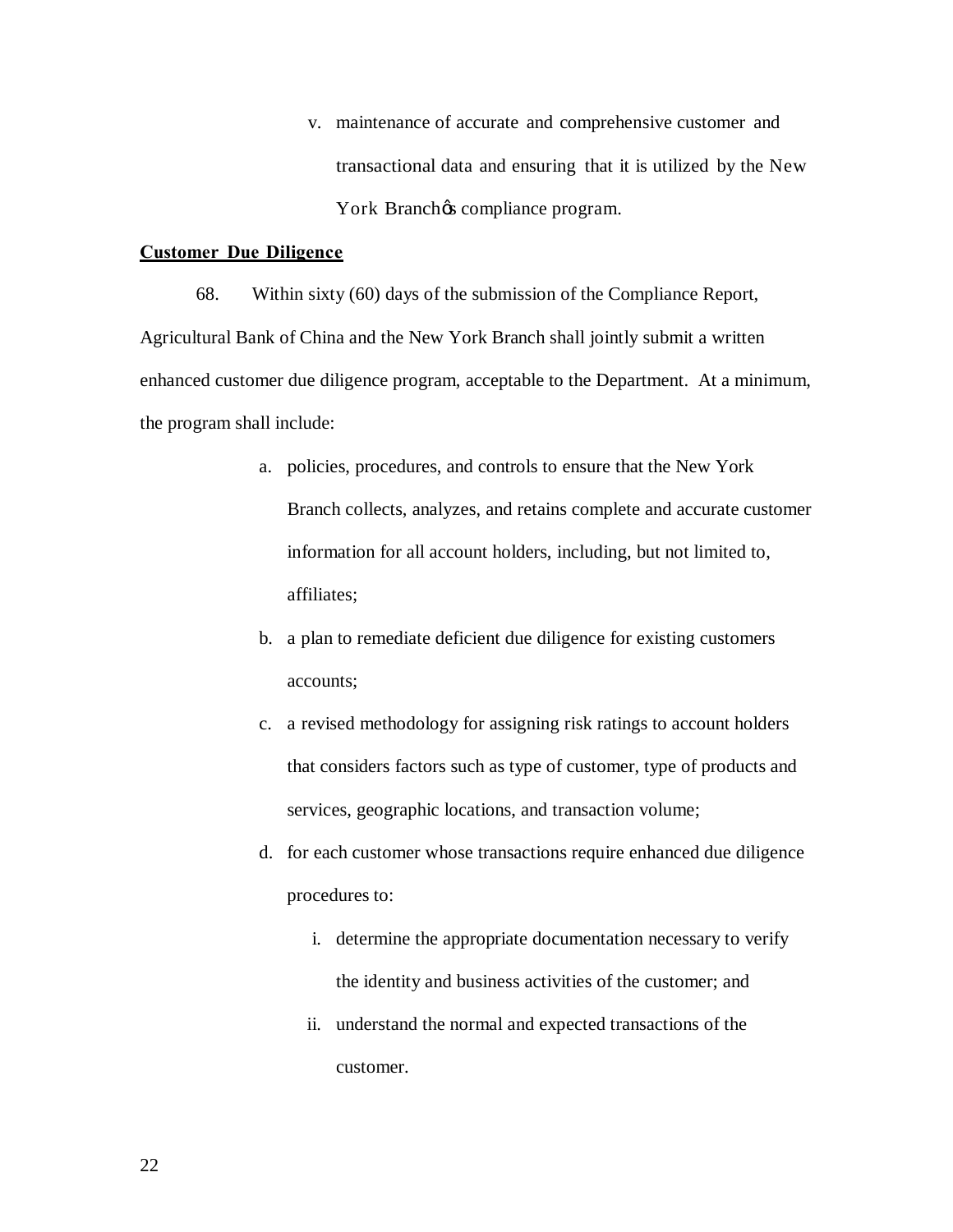v. maintenance of accurate and comprehensive customer and transactional data and ensuring that it is utilized by the New York Branchøs compliance program.

### **Customer Due Diligence**

 68. Within sixty (60) days of the submission of the Compliance Report, Agricultural Bank of China and the New York Branch shall jointly submit a written enhanced customer due diligence program, acceptable to the Department. At a minimum, the program shall include:

- a. policies, procedures, and controls to ensure that the New York Branch collects, analyzes, and retains complete and accurate customer information for all account holders, including, but not limited to, affiliates;
- b. a plan to remediate deficient due diligence for existing customers accounts;
- c. a revised methodology for assigning risk ratings to account holders that considers factors such as type of customer, type of products and services, geographic locations, and transaction volume;
- d. for each customer whose transactions require enhanced due diligence procedures to:
	- i. determine the appropriate documentation necessary to verify the identity and business activities of the customer; and
	- ii. understand the normal and expected transactions of the customer.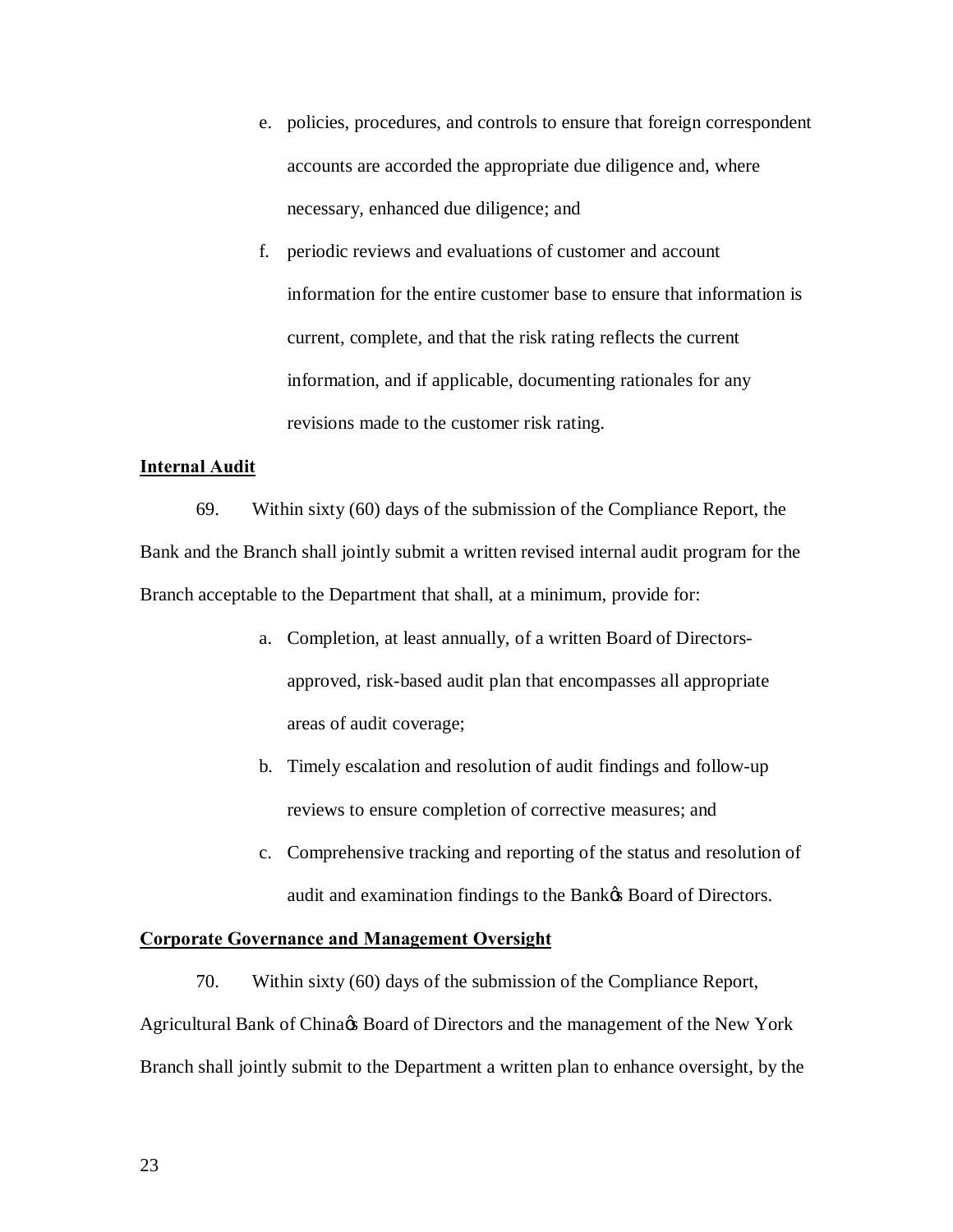- e. policies, procedures, and controls to ensure that foreign correspondent necessary, enhanced due diligence; and accounts are accorded the appropriate due diligence and, where
- f. periodic reviews and evaluations of customer and account information for the entire customer base to ensure that information is current, complete, and that the risk rating reflects the current information, and if applicable, documenting rationales for any revisions made to the customer risk rating.

### **Internal Audit**

 69. Within sixty (60) days of the submission of the Compliance Report, the Bank and the Branch shall jointly submit a written revised internal audit program for the Branch acceptable to the Department that shall, at a minimum, provide for:

- a. Completion, at least annually, of a written Board of Directors- approved, risk-based audit plan that encompasses all appropriate areas of audit coverage;
- b. Timely escalation and resolution of audit findings and follow-up reviews to ensure completion of corrective measures; and
- c. Comprehensive tracking and reporting of the status and resolution of audit and examination findings to the Bank $\alpha$  Board of Directors.

### **Corporate Governance and Management Oversight**

 70. Within sixty (60) days of the submission of the Compliance Report, Agricultural Bank of China $\alpha$  Board of Directors and the management of the New York Branch shall jointly submit to the Department a written plan to enhance oversight, by the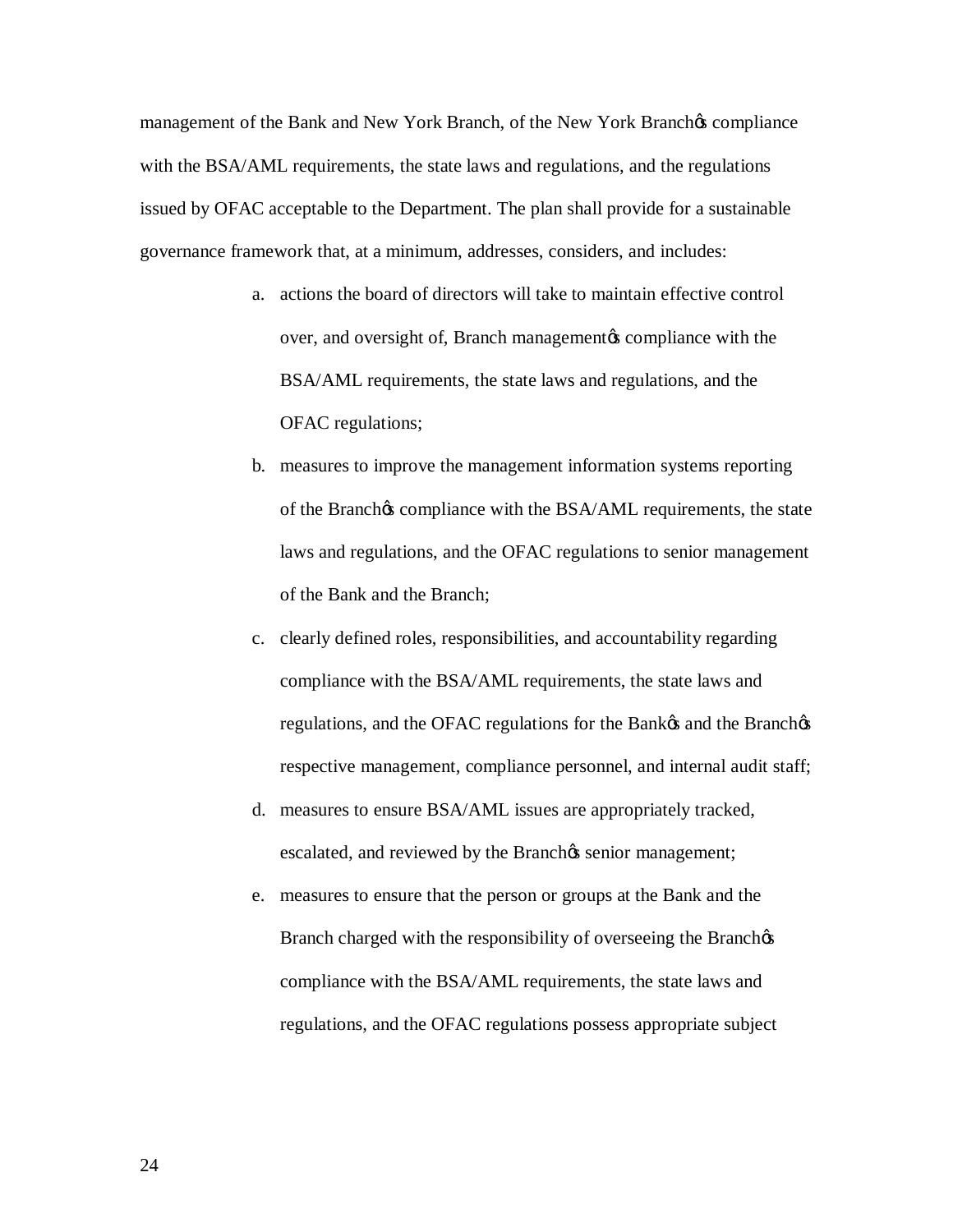management of the Bank and New York Branch, of the New York Branchos compliance with the BSA/AML requirements, the state laws and regulations, and the regulations issued by OFAC acceptable to the Department. The plan shall provide for a sustainable governance framework that, at a minimum, addresses, considers, and includes:

- a. actions the board of directors will take to maintain effective control over, and oversight of, Branch managementøs compliance with the BSA/AML requirements, the state laws and regulations, and the OFAC regulations;
- b. measures to improve the management information systems reporting laws and regulations, and the OFAC regulations to senior management of the Branch $\alpha$  compliance with the BSA/AML requirements, the state of the Bank and the Branch;
- regulations, and the OFAC regulations for the Bank $\alpha$  and the Branch $\alpha$  respective management, compliance personnel, and internal audit staff; c. clearly defined roles, responsibilities, and accountability regarding compliance with the BSA/AML requirements, the state laws and
- d. measures to ensure BSA/AML issues are appropriately tracked, escalated, and reviewed by the Branch $\alpha$  senior management;
- e. measures to ensure that the person or groups at the Bank and the Branch charged with the responsibility of overseeing the Branchos regulations, and the OFAC regulations possess appropriate subject compliance with the BSA/AML requirements, the state laws and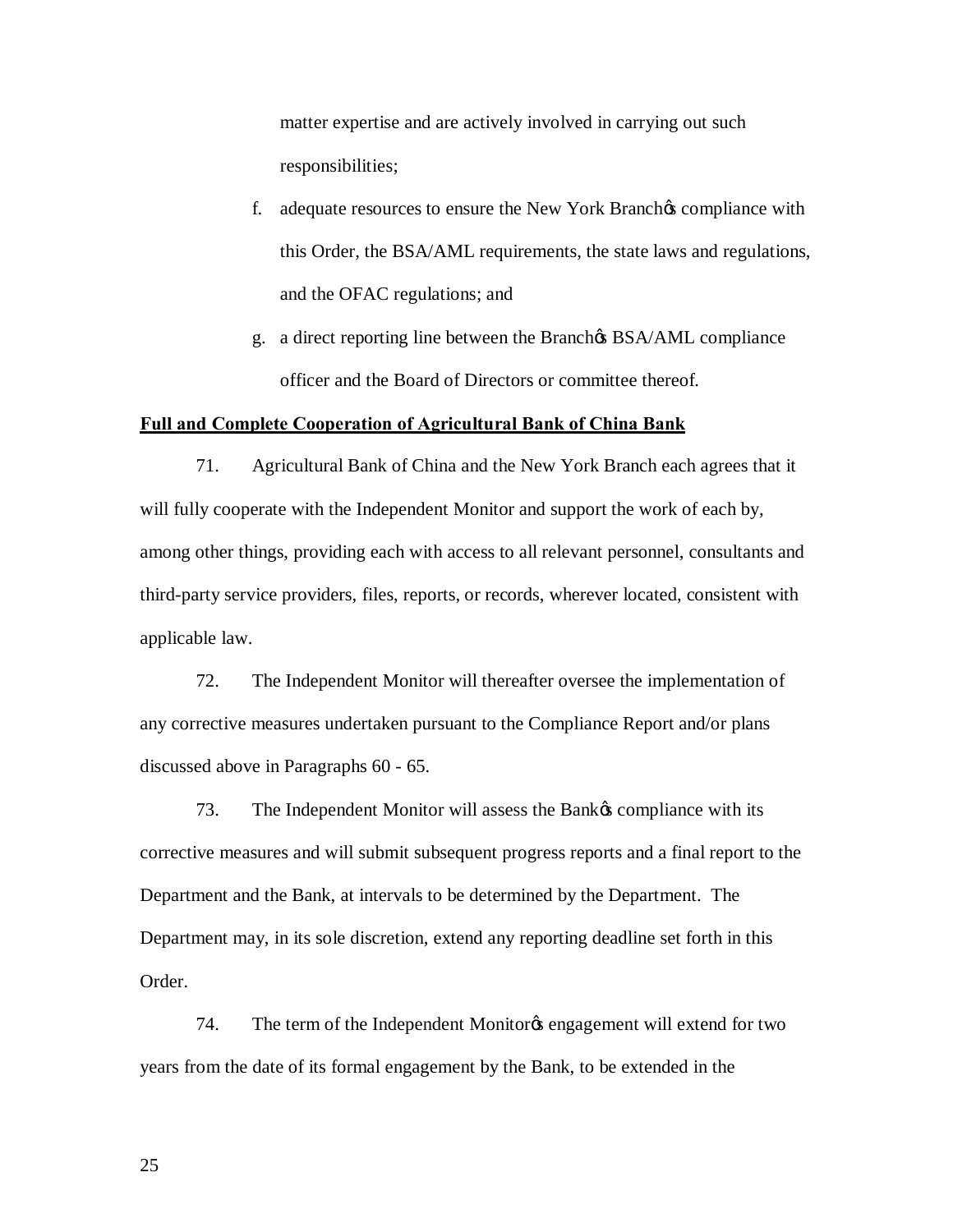matter expertise and are actively involved in carrying out such responsibilities;

- f. adequate resources to ensure the New York Branchos compliance with this Order, the BSA/AML requirements, the state laws and regulations, and the OFAC regulations; and
- g. a direct reporting line between the Branch $\alpha$  BSA/AML compliance officer and the Board of Directors or committee thereof.

### **Full and Complete Cooperation of Agricultural Bank of China Bank**

 71. Agricultural Bank of China and the New York Branch each agrees that it will fully cooperate with the Independent Monitor and support the work of each by, among other things, providing each with access to all relevant personnel, consultants and third-party service providers, files, reports, or records, wherever located, consistent with applicable law.

 72. The Independent Monitor will thereafter oversee the implementation of any corrective measures undertaken pursuant to the Compliance Report and/or plans discussed above in Paragraphs 60 - 65.

73. The Independent Monitor will assess the Bank *n*s compliance with its corrective measures and will submit subsequent progress reports and a final report to the Department and the Bank, at intervals to be determined by the Department. The Department may, in its sole discretion, extend any reporting deadline set forth in this Order.

74. The term of the Independent Monitor & engagement will extend for two years from the date of its formal engagement by the Bank, to be extended in the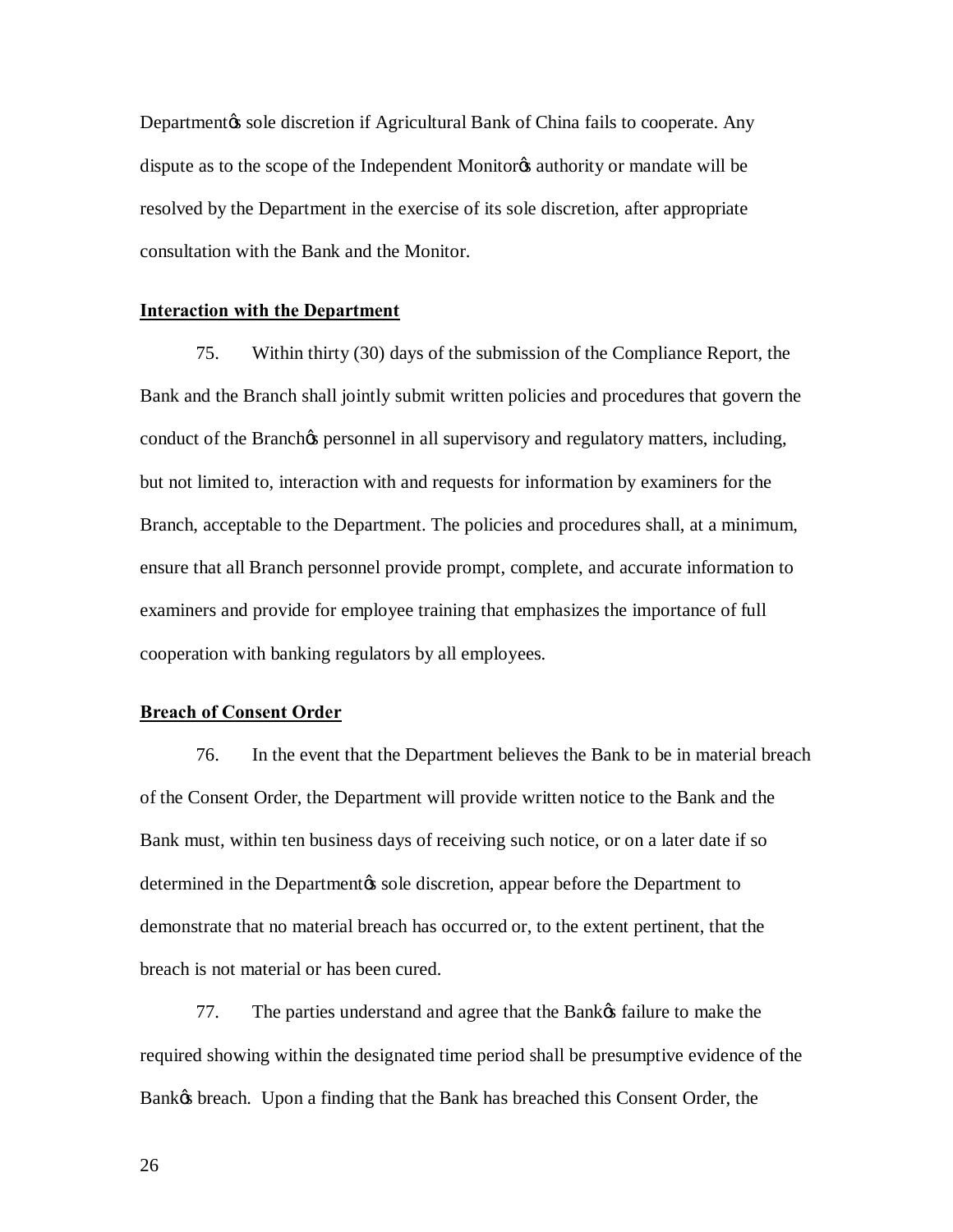Departmentøs sole discretion if Agricultural Bank of China fails to cooperate. Any dispute as to the scope of the Independent Monitorys authority or mandate will be resolved by the Department in the exercise of its sole discretion, after appropriate consultation with the Bank and the Monitor.

### **Interaction with the Department**

 75. Within thirty (30) days of the submission of the Compliance Report, the Bank and the Branch shall jointly submit written policies and procedures that govern the conduct of the Branch $\alpha$  personnel in all supervisory and regulatory matters, including, but not limited to, interaction with and requests for information by examiners for the Branch, acceptable to the Department. The policies and procedures shall, at a minimum, ensure that all Branch personnel provide prompt, complete, and accurate information to examiners and provide for employee training that emphasizes the importance of full cooperation with banking regulators by all employees.

### **Breach of Consent Order**

 76. In the event that the Department believes the Bank to be in material breach of the Consent Order, the Department will provide written notice to the Bank and the Bank must, within ten business days of receiving such notice, or on a later date if so demonstrate that no material breach has occurred or, to the extent pertinent, that the breach is not material or has been cured. determined in the Department to sole discretion, appear before the Department to

77. The parties understand and agree that the Bank  $\alpha$  failure to make the Bankøs breach. Upon a finding that the Bank has breached this Consent Order, the required showing within the designated time period shall be presumptive evidence of the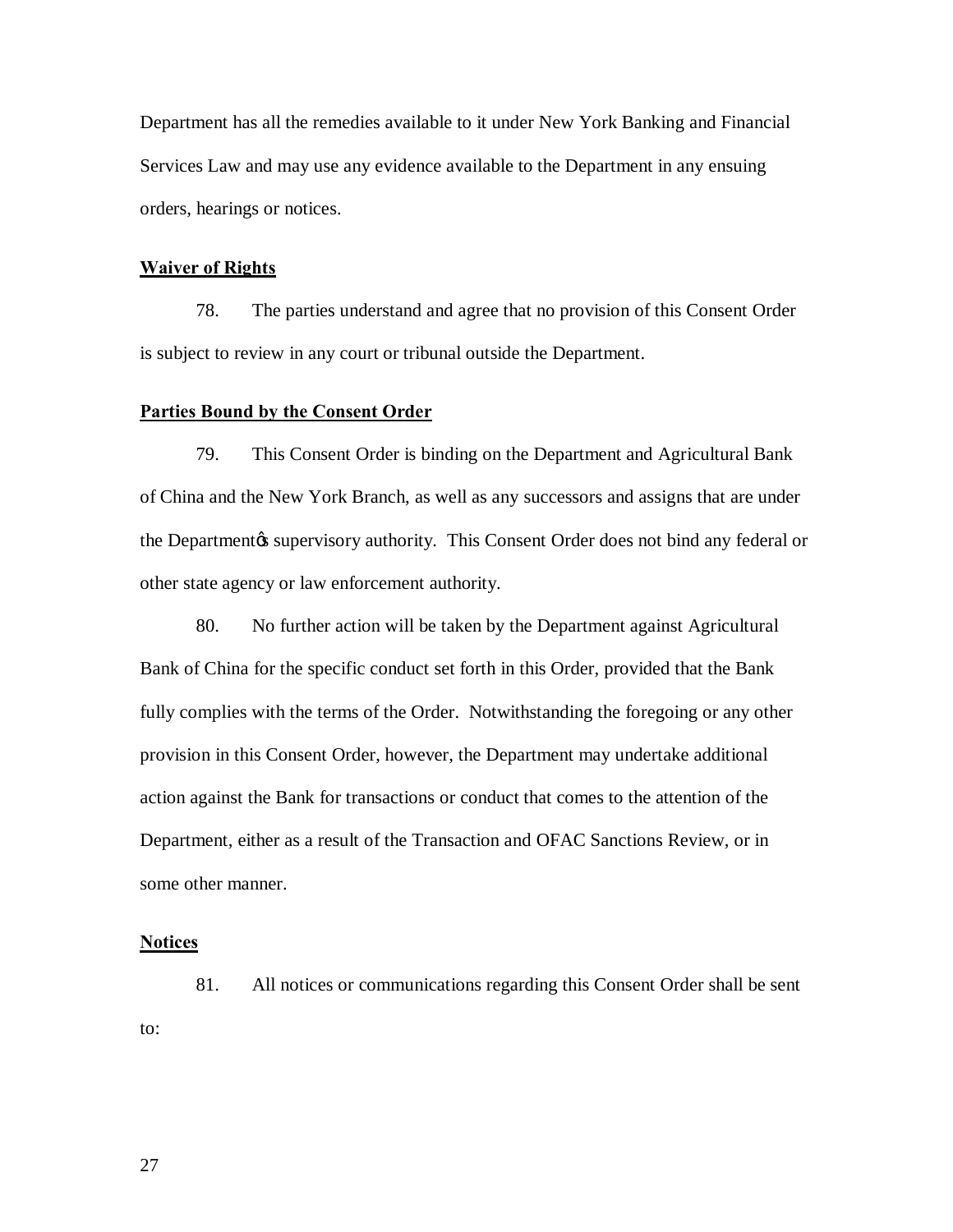Department has all the remedies available to it under New York Banking and Financial Services Law and may use any evidence available to the Department in any ensuing orders, hearings or notices.

### **Waiver of Rights**

 78. The parties understand and agree that no provision of this Consent Order is subject to review in any court or tribunal outside the Department.

### **Parties Bound by the Consent Order**

 79. This Consent Order is binding on the Department and Agricultural Bank of China and the New York Branch, as well as any successors and assigns that are under the Department & supervisory authority. This Consent Order does not bind any federal or other state agency or law enforcement authority.

 80. No further action will be taken by the Department against Agricultural Bank of China for the specific conduct set forth in this Order, provided that the Bank fully complies with the terms of the Order. Notwithstanding the foregoing or any other provision in this Consent Order, however, the Department may undertake additional action against the Bank for transactions or conduct that comes to the attention of the Department, either as a result of the Transaction and OFAC Sanctions Review, or in some other manner.

### **Notices**

 81. All notices or communications regarding this Consent Order shall be sent to: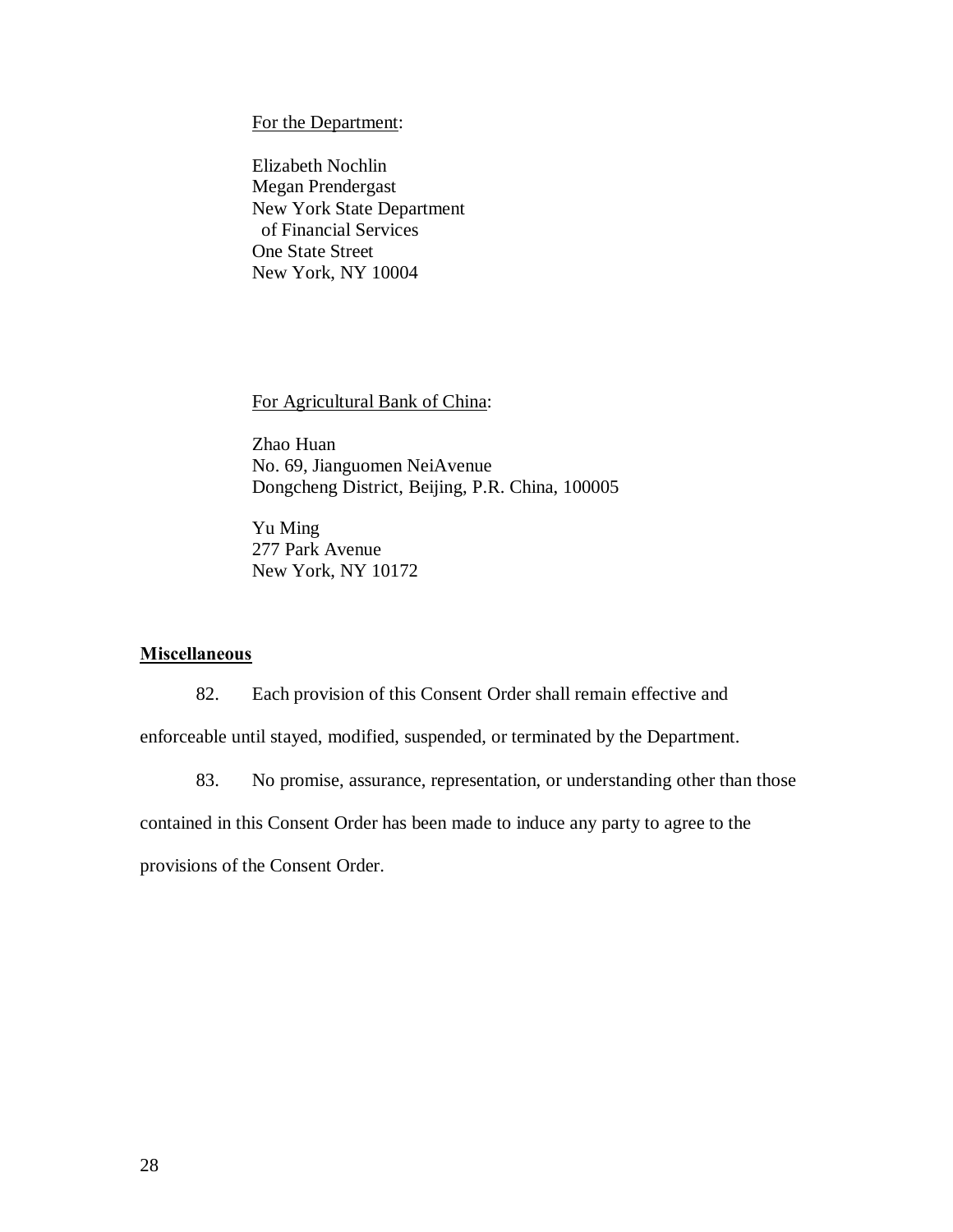For the Department:

 Elizabeth Nochlin Megan Prendergast One State Street New York, NY 10004 New York State Department of Financial Services

For Agricultural Bank of China:

 Zhao Huan No. 69, Jianguomen NeiAvenue Dongcheng District, Beijing, P.R. China, 100005

 New York, NY 10172 Yu Ming 277 Park Avenue

### **Miscellaneous**

82. Each provision of this Consent Order shall remain effective and

enforceable until stayed, modified, suspended, or terminated by the Department.

83. No promise, assurance, representation, or understanding other than those

contained in this Consent Order has been made to induce any party to agree to the

provisions of the Consent Order.